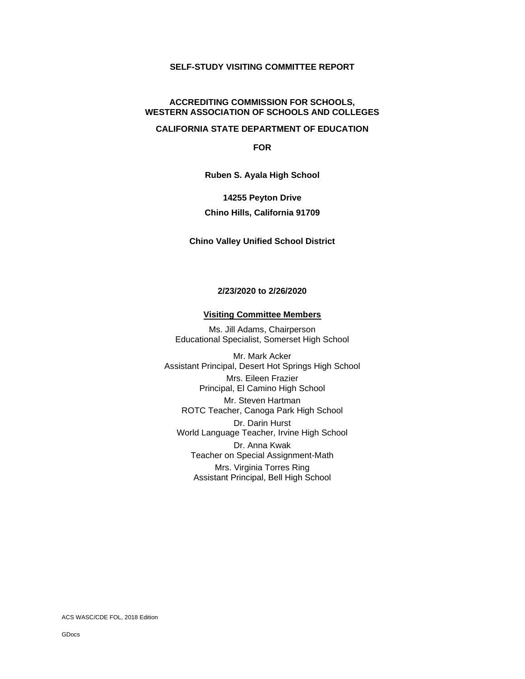# **SELF-STUDY VISITING COMMITTEE REPORT**

#### **ACCREDITING COMMISSION FOR SCHOOLS, WESTERN ASSOCIATION OF SCHOOLS AND COLLEGES**

#### **CALIFORNIA STATE DEPARTMENT OF EDUCATION**

**FOR**

**Ruben S. Ayala High School**

# **14255 Peyton Drive Chino Hills, California 91709**

### **Chino Valley Unified School District**

#### **2/23/2020 to 2/26/2020**

#### **Visiting Committee Members**

Ms. Jill Adams, Chairperson Educational Specialist, Somerset High School

Mr. Mark Acker Assistant Principal, Desert Hot Springs High School Mrs. Eileen Frazier Principal, El Camino High School Mr. Steven Hartman ROTC Teacher, Canoga Park High School Dr. Darin Hurst World Language Teacher, Irvine High School Dr. Anna Kwak Teacher on Special Assignment-Math Mrs. Virginia Torres Ring Assistant Principal, Bell High School

ACS WASC/CDE FOL, 2018 Edition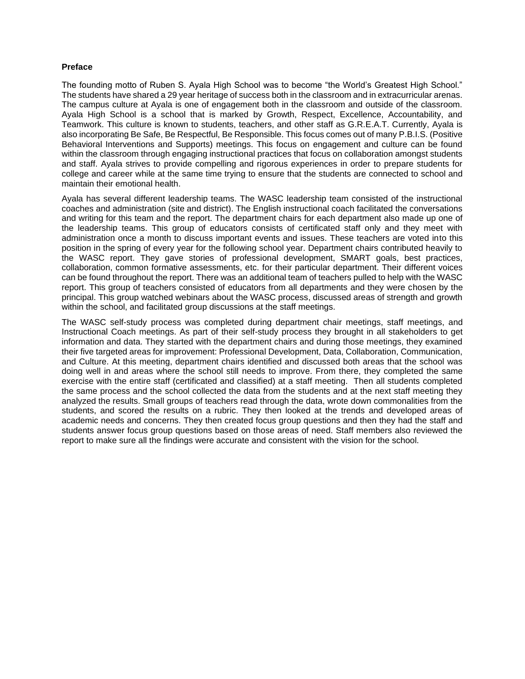#### **Preface**

The founding motto of Ruben S. Ayala High School was to become "the World's Greatest High School." The students have shared a 29 year heritage of success both in the classroom and in extracurricular arenas. The campus culture at Ayala is one of engagement both in the classroom and outside of the classroom. Ayala High School is a school that is marked by Growth, Respect, Excellence, Accountability, and Teamwork. This culture is known to students, teachers, and other staff as G.R.E.A.T. Currently, Ayala is also incorporating Be Safe, Be Respectful, Be Responsible. This focus comes out of many P.B.I.S. (Positive Behavioral Interventions and Supports) meetings. This focus on engagement and culture can be found within the classroom through engaging instructional practices that focus on collaboration amongst students and staff. Ayala strives to provide compelling and rigorous experiences in order to prepare students for college and career while at the same time trying to ensure that the students are connected to school and maintain their emotional health.

Ayala has several different leadership teams. The WASC leadership team consisted of the instructional coaches and administration (site and district). The English instructional coach facilitated the conversations and writing for this team and the report. The department chairs for each department also made up one of the leadership teams. This group of educators consists of certificated staff only and they meet with administration once a month to discuss important events and issues. These teachers are voted into this position in the spring of every year for the following school year. Department chairs contributed heavily to the WASC report. They gave stories of professional development, SMART goals, best practices, collaboration, common formative assessments, etc. for their particular department. Their different voices can be found throughout the report. There was an additional team of teachers pulled to help with the WASC report. This group of teachers consisted of educators from all departments and they were chosen by the principal. This group watched webinars about the WASC process, discussed areas of strength and growth within the school, and facilitated group discussions at the staff meetings.

The WASC self-study process was completed during department chair meetings, staff meetings, and Instructional Coach meetings. As part of their self-study process they brought in all stakeholders to get information and data. They started with the department chairs and during those meetings, they examined their five targeted areas for improvement: Professional Development, Data, Collaboration, Communication, and Culture. At this meeting, department chairs identified and discussed both areas that the school was doing well in and areas where the school still needs to improve. From there, they completed the same exercise with the entire staff (certificated and classified) at a staff meeting. Then all students completed the same process and the school collected the data from the students and at the next staff meeting they analyzed the results. Small groups of teachers read through the data, wrote down commonalities from the students, and scored the results on a rubric. They then looked at the trends and developed areas of academic needs and concerns. They then created focus group questions and then they had the staff and students answer focus group questions based on those areas of need. Staff members also reviewed the report to make sure all the findings were accurate and consistent with the vision for the school.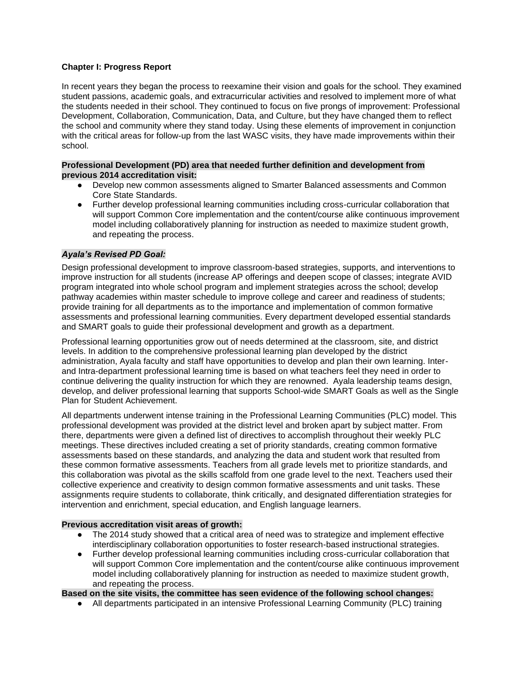# **Chapter I: Progress Report**

In recent years they began the process to reexamine their vision and goals for the school. They examined student passions, academic goals, and extracurricular activities and resolved to implement more of what the students needed in their school. They continued to focus on five prongs of improvement: Professional Development, Collaboration, Communication, Data, and Culture, but they have changed them to reflect the school and community where they stand today. Using these elements of improvement in conjunction with the critical areas for follow-up from the last WASC visits, they have made improvements within their school.

#### **Professional Development (PD) area that needed further definition and development from previous 2014 accreditation visit:**

- Develop new common assessments aligned to Smarter Balanced assessments and Common Core State Standards.
- Further develop professional learning communities including cross-curricular collaboration that will support Common Core implementation and the content/course alike continuous improvement model including collaboratively planning for instruction as needed to maximize student growth, and repeating the process.

### *Ayala's Revised PD Goal:*

Design professional development to improve classroom-based strategies, supports, and interventions to improve instruction for all students (increase AP offerings and deepen scope of classes; integrate AVID program integrated into whole school program and implement strategies across the school; develop pathway academies within master schedule to improve college and career and readiness of students; provide training for all departments as to the importance and implementation of common formative assessments and professional learning communities. Every department developed essential standards and SMART goals to guide their professional development and growth as a department.

Professional learning opportunities grow out of needs determined at the classroom, site, and district levels. In addition to the comprehensive professional learning plan developed by the district administration, Ayala faculty and staff have opportunities to develop and plan their own learning. Interand Intra-department professional learning time is based on what teachers feel they need in order to continue delivering the quality instruction for which they are renowned. Ayala leadership teams design, develop, and deliver professional learning that supports School-wide SMART Goals as well as the Single Plan for Student Achievement.

All departments underwent intense training in the Professional Learning Communities (PLC) model. This professional development was provided at the district level and broken apart by subject matter. From there, departments were given a defined list of directives to accomplish throughout their weekly PLC meetings. These directives included creating a set of priority standards, creating common formative assessments based on these standards, and analyzing the data and student work that resulted from these common formative assessments. Teachers from all grade levels met to prioritize standards, and this collaboration was pivotal as the skills scaffold from one grade level to the next. Teachers used their collective experience and creativity to design common formative assessments and unit tasks. These assignments require students to collaborate, think critically, and designated differentiation strategies for intervention and enrichment, special education, and English language learners.

#### **Previous accreditation visit areas of growth:**

- The 2014 study showed that a critical area of need was to strategize and implement effective interdisciplinary collaboration opportunities to foster research-based instructional strategies.
- Further develop professional learning communities including cross-curricular collaboration that will support Common Core implementation and the content/course alike continuous improvement model including collaboratively planning for instruction as needed to maximize student growth, and repeating the process.

**Based on the site visits, the committee has seen evidence of the following school changes:**

● All departments participated in an intensive Professional Learning Community (PLC) training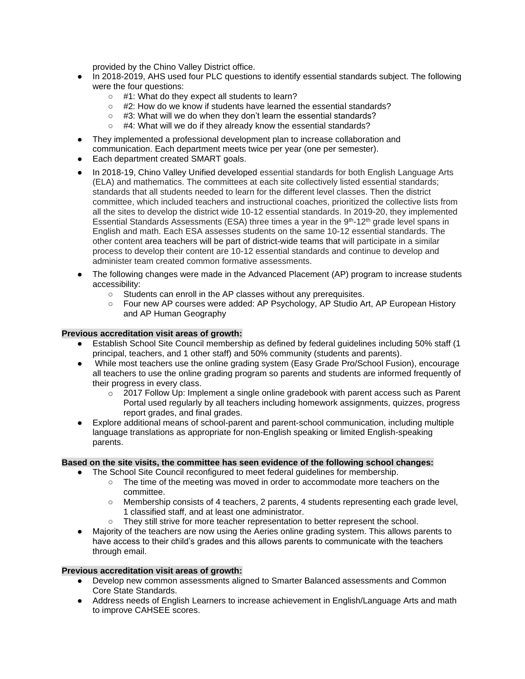provided by the Chino Valley District office.

- In 2018-2019, AHS used four PLC questions to identify essential standards subject. The following were the four questions:
	- #1: What do they expect all students to learn?
	- $\circ$  #2: How do we know if students have learned the essential standards?
	- #3: What will we do when they don't learn the essential standards?
	- #4: What will we do if they already know the essential standards?
- They implemented a professional development plan to increase collaboration and communication. Each department meets twice per year (one per semester).
- Each department created SMART goals.
- In 2018-19, Chino Valley Unified developed essential standards for both English Language Arts (ELA) and mathematics. The committees at each site collectively listed essential standards; standards that all students needed to learn for the different level classes. Then the district committee, which included teachers and instructional coaches, prioritized the collective lists from all the sites to develop the district wide 10-12 essential standards. In 2019-20, they implemented Essential Standards Assessments (ESA) three times a year in the  $9<sup>th</sup>$ -12<sup>th</sup> grade level spans in English and math. Each ESA assesses students on the same 10-12 essential standards. The other content area teachers will be part of district-wide teams that will participate in a similar process to develop their content are 10-12 essential standards and continue to develop and administer team created common formative assessments.
- The following changes were made in the Advanced Placement (AP) program to increase students accessibility:
	- Students can enroll in the AP classes without any prerequisites.
	- Four new AP courses were added: AP Psychology, AP Studio Art, AP European History and AP Human Geography

# **Previous accreditation visit areas of growth:**

- Establish School Site Council membership as defined by federal guidelines including 50% staff (1 principal, teachers, and 1 other staff) and 50% community (students and parents).
- While most teachers use the online grading system (Easy Grade Pro/School Fusion), encourage all teachers to use the online grading program so parents and students are informed frequently of their progress in every class.
	- $\circ$  2017 Follow Up: Implement a single online gradebook with parent access such as Parent Portal used regularly by all teachers including homework assignments, quizzes, progress report grades, and final grades.
- Explore additional means of school-parent and parent-school communication, including multiple language translations as appropriate for non-English speaking or limited English-speaking parents.

# **Based on the site visits, the committee has seen evidence of the following school changes:**

- The School Site Council reconfigured to meet federal guidelines for membership.
	- The time of the meeting was moved in order to accommodate more teachers on the committee.
	- Membership consists of 4 teachers, 2 parents, 4 students representing each grade level, 1 classified staff, and at least one administrator.
	- They still strive for more teacher representation to better represent the school.
- Majority of the teachers are now using the Aeries online grading system. This allows parents to have access to their child's grades and this allows parents to communicate with the teachers through email.

# **Previous accreditation visit areas of growth:**

- Develop new common assessments aligned to Smarter Balanced assessments and Common Core State Standards.
- Address needs of English Learners to increase achievement in English/Language Arts and math to improve CAHSEE scores.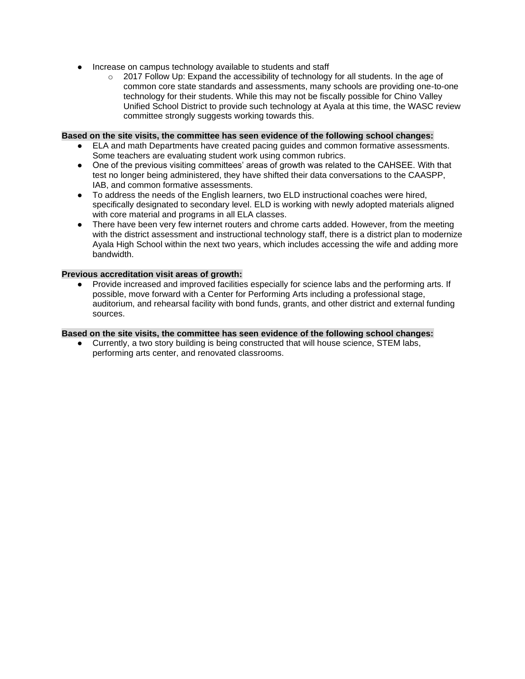- Increase on campus technology available to students and staff
	- $\circ$  2017 Follow Up: Expand the accessibility of technology for all students. In the age of common core state standards and assessments, many schools are providing one-to-one technology for their students. While this may not be fiscally possible for Chino Valley Unified School District to provide such technology at Ayala at this time, the WASC review committee strongly suggests working towards this.

#### **Based on the site visits, the committee has seen evidence of the following school changes:**

- ELA and math Departments have created pacing guides and common formative assessments. Some teachers are evaluating student work using common rubrics.
- One of the previous visiting committees' areas of growth was related to the CAHSEE. With that test no longer being administered, they have shifted their data conversations to the CAASPP, IAB, and common formative assessments.
- To address the needs of the English learners, two ELD instructional coaches were hired, specifically designated to secondary level. ELD is working with newly adopted materials aligned with core material and programs in all ELA classes.
- There have been very few internet routers and chrome carts added. However, from the meeting with the district assessment and instructional technology staff, there is a district plan to modernize Ayala High School within the next two years, which includes accessing the wife and adding more bandwidth.

### **Previous accreditation visit areas of growth:**

● Provide increased and improved facilities especially for science labs and the performing arts. If possible, move forward with a Center for Performing Arts including a professional stage, auditorium, and rehearsal facility with bond funds, grants, and other district and external funding sources.

#### **Based on the site visits, the committee has seen evidence of the following school changes:**

● Currently, a two story building is being constructed that will house science, STEM labs, performing arts center, and renovated classrooms.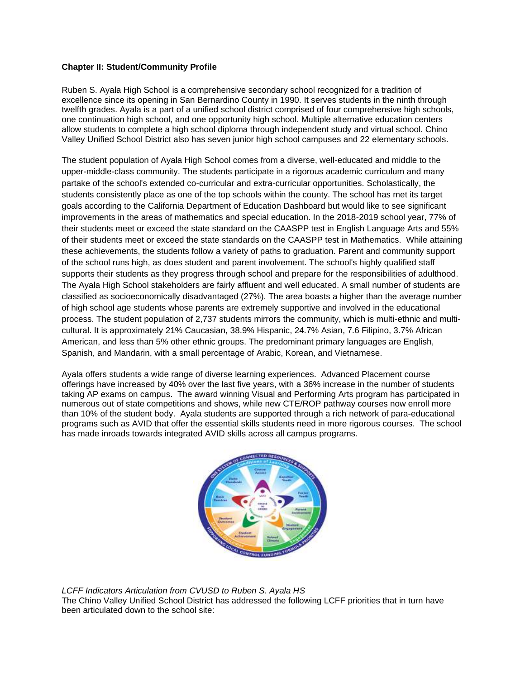### **Chapter II: Student/Community Profile**

Ruben S. Ayala High School is a comprehensive secondary school recognized for a tradition of excellence since its opening in San Bernardino County in 1990. It serves students in the ninth through twelfth grades. Ayala is a part of a unified school district comprised of four comprehensive high schools, one continuation high school, and one opportunity high school. Multiple alternative education centers allow students to complete a high school diploma through independent study and virtual school. Chino Valley Unified School District also has seven junior high school campuses and 22 elementary schools.

The student population of Ayala High School comes from a diverse, well-educated and middle to the upper-middle-class community. The students participate in a rigorous academic curriculum and many partake of the school's extended co-curricular and extra-curricular opportunities. Scholastically, the students consistently place as one of the top schools within the county. The school has met its target goals according to the California Department of Education Dashboard but would like to see significant improvements in the areas of mathematics and special education. In the 2018-2019 school year, 77% of their students meet or exceed the state standard on the CAASPP test in English Language Arts and 55% of their students meet or exceed the state standards on the CAASPP test in Mathematics. While attaining these achievements, the students follow a variety of paths to graduation. Parent and community support of the school runs high, as does student and parent involvement. The school's highly qualified staff supports their students as they progress through school and prepare for the responsibilities of adulthood. The Ayala High School stakeholders are fairly affluent and well educated. A small number of students are classified as socioeconomically disadvantaged (27%). The area boasts a higher than the average number of high school age students whose parents are extremely supportive and involved in the educational process. The student population of 2,737 students mirrors the community, which is multi-ethnic and multicultural. It is approximately 21% Caucasian, 38.9% Hispanic, 24.7% Asian, 7.6 Filipino, 3.7% African American, and less than 5% other ethnic groups. The predominant primary languages are English, Spanish, and Mandarin, with a small percentage of Arabic, Korean, and Vietnamese.

Ayala offers students a wide range of diverse learning experiences. Advanced Placement course offerings have increased by 40% over the last five years, with a 36% increase in the number of students taking AP exams on campus. The award winning Visual and Performing Arts program has participated in numerous out of state competitions and shows, while new CTE/ROP pathway courses now enroll more than 10% of the student body. Ayala students are supported through a rich network of para-educational programs such as AVID that offer the essential skills students need in more rigorous courses. The school has made inroads towards integrated AVID skills across all campus programs.



*LCFF Indicators Articulation from CVUSD to Ruben S. Ayala HS*

The Chino Valley Unified School District has addressed the following LCFF priorities that in turn have been articulated down to the school site: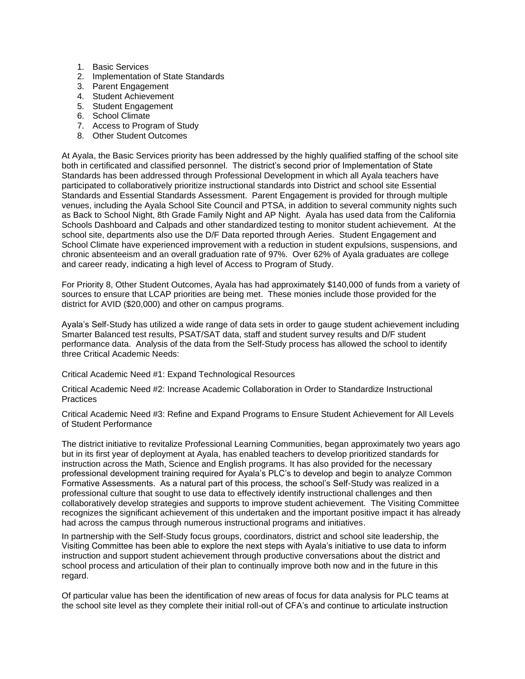- 1. Basic Services
- 2. Implementation of State Standards
- 3. Parent Engagement
- 4. Student Achievement
- 5. Student Engagement
- 6. School Climate
- 7. Access to Program of Study
- 8. Other Student Outcomes

At Ayala, the Basic Services priority has been addressed by the highly qualified staffing of the school site both in certificated and classified personnel. The district's second prior of Implementation of State Standards has been addressed through Professional Development in which all Ayala teachers have participated to collaboratively prioritize instructional standards into District and school site Essential Standards and Essential Standards Assessment. Parent Engagement is provided for through multiple venues, including the Ayala School Site Council and PTSA, in addition to several community nights such as Back to School Night, 8th Grade Family Night and AP Night. Ayala has used data from the California Schools Dashboard and Calpads and other standardized testing to monitor student achievement. At the school site, departments also use the D/F Data reported through Aeries. Student Engagement and School Climate have experienced improvement with a reduction in student expulsions, suspensions, and chronic absenteeism and an overall graduation rate of 97%. Over 62% of Ayala graduates are college and career ready, indicating a high level of Access to Program of Study.

For Priority 8, Other Student Outcomes, Ayala has had approximately \$140,000 of funds from a variety of sources to ensure that LCAP priorities are being met. These monies include those provided for the district for AVID (\$20,000) and other on campus programs.

Ayala's Self-Study has utilized a wide range of data sets in order to gauge student achievement including Smarter Balanced test results, PSAT/SAT data, staff and student survey results and D/F student performance data. Analysis of the data from the Self-Study process has allowed the school to identify three Critical Academic Needs:

Critical Academic Need #1: Expand Technological Resources

Critical Academic Need #2: Increase Academic Collaboration in Order to Standardize Instructional **Practices** 

Critical Academic Need #3: Refine and Expand Programs to Ensure Student Achievement for All Levels of Student Performance

The district initiative to revitalize Professional Learning Communities, began approximately two years ago but in its first year of deployment at Ayala, has enabled teachers to develop prioritized standards for instruction across the Math, Science and English programs. It has also provided for the necessary professional development training required for Ayala's PLC's to develop and begin to analyze Common Formative Assessments. As a natural part of this process, the school's Self-Study was realized in a professional culture that sought to use data to effectively identify instructional challenges and then collaboratively develop strategies and supports to improve student achievement. The Visiting Committee recognizes the significant achievement of this undertaken and the important positive impact it has already had across the campus through numerous instructional programs and initiatives.

In partnership with the Self-Study focus groups, coordinators, district and school site leadership, the Visiting Committee has been able to explore the next steps with Ayala's initiative to use data to inform instruction and support student achievement through productive conversations about the district and school process and articulation of their plan to continually improve both now and in the future in this regard.

Of particular value has been the identification of new areas of focus for data analysis for PLC teams at the school site level as they complete their initial roll-out of CFA's and continue to articulate instruction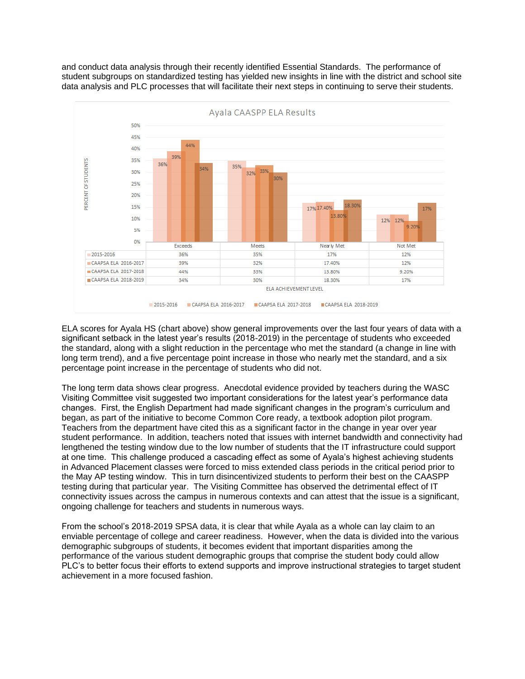and conduct data analysis through their recently identified Essential Standards. The performance of student subgroups on standardized testing has yielded new insights in line with the district and school site data analysis and PLC processes that will facilitate their next steps in continuing to serve their students.



ELA scores for Ayala HS (chart above) show general improvements over the last four years of data with a significant setback in the latest year's results (2018-2019) in the percentage of students who exceeded the standard, along with a slight reduction in the percentage who met the standard (a change in line with long term trend), and a five percentage point increase in those who nearly met the standard, and a six percentage point increase in the percentage of students who did not.

The long term data shows clear progress. Anecdotal evidence provided by teachers during the WASC Visiting Committee visit suggested two important considerations for the latest year's performance data changes. First, the English Department had made significant changes in the program's curriculum and began, as part of the initiative to become Common Core ready, a textbook adoption pilot program. Teachers from the department have cited this as a significant factor in the change in year over year student performance. In addition, teachers noted that issues with internet bandwidth and connectivity had lengthened the testing window due to the low number of students that the IT infrastructure could support at one time. This challenge produced a cascading effect as some of Ayala's highest achieving students in Advanced Placement classes were forced to miss extended class periods in the critical period prior to the May AP testing window. This in turn disincentivized students to perform their best on the CAASPP testing during that particular year. The Visiting Committee has observed the detrimental effect of IT connectivity issues across the campus in numerous contexts and can attest that the issue is a significant, ongoing challenge for teachers and students in numerous ways.

From the school's 2018-2019 SPSA data, it is clear that while Ayala as a whole can lay claim to an enviable percentage of college and career readiness. However, when the data is divided into the various demographic subgroups of students, it becomes evident that important disparities among the performance of the various student demographic groups that comprise the student body could allow PLC's to better focus their efforts to extend supports and improve instructional strategies to target student achievement in a more focused fashion.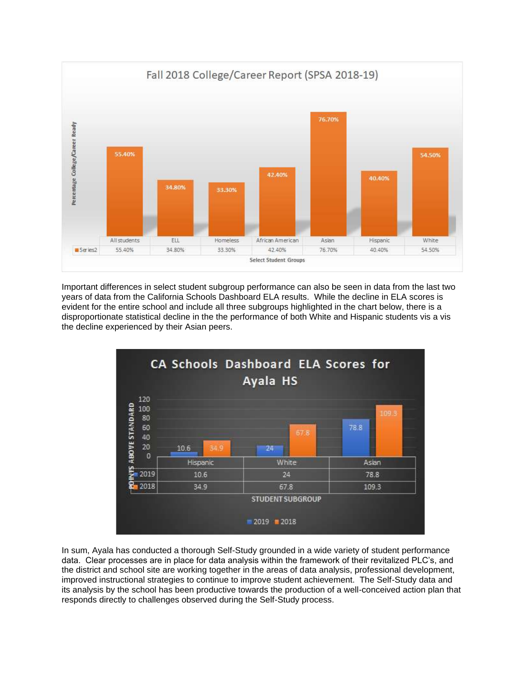

Important differences in select student subgroup performance can also be seen in data from the last two years of data from the California Schools Dashboard ELA results. While the decline in ELA scores is evident for the entire school and include all three subgroups highlighted in the chart below, there is a disproportionate statistical decline in the the performance of both White and Hispanic students vis a vis the decline experienced by their Asian peers.



In sum, Ayala has conducted a thorough Self-Study grounded in a wide variety of student performance data. Clear processes are in place for data analysis within the framework of their revitalized PLC's, and the district and school site are working together in the areas of data analysis, professional development, improved instructional strategies to continue to improve student achievement. The Self-Study data and its analysis by the school has been productive towards the production of a well-conceived action plan that responds directly to challenges observed during the Self-Study process.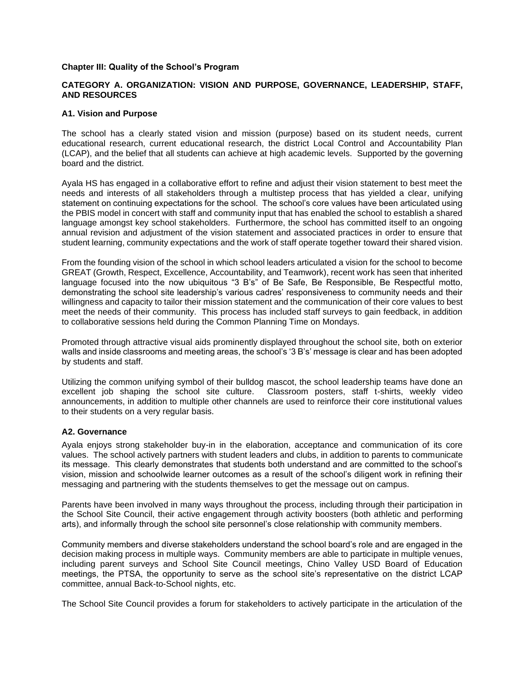#### **Chapter III: Quality of the School's Program**

### **CATEGORY A. ORGANIZATION: VISION AND PURPOSE, GOVERNANCE, LEADERSHIP, STAFF, AND RESOURCES**

#### **A1. Vision and Purpose**

The school has a clearly stated vision and mission (purpose) based on its student needs, current educational research, current educational research, the district Local Control and Accountability Plan (LCAP), and the belief that all students can achieve at high academic levels. Supported by the governing board and the district.

Ayala HS has engaged in a collaborative effort to refine and adjust their vision statement to best meet the needs and interests of all stakeholders through a multistep process that has yielded a clear, unifying statement on continuing expectations for the school. The school's core values have been articulated using the PBIS model in concert with staff and community input that has enabled the school to establish a shared language amongst key school stakeholders. Furthermore, the school has committed itself to an ongoing annual revision and adjustment of the vision statement and associated practices in order to ensure that student learning, community expectations and the work of staff operate together toward their shared vision.

From the founding vision of the school in which school leaders articulated a vision for the school to become GREAT (Growth, Respect, Excellence, Accountability, and Teamwork), recent work has seen that inherited language focused into the now ubiquitous "3 B's" of Be Safe, Be Responsible, Be Respectful motto, demonstrating the school site leadership's various cadres' responsiveness to community needs and their willingness and capacity to tailor their mission statement and the communication of their core values to best meet the needs of their community. This process has included staff surveys to gain feedback, in addition to collaborative sessions held during the Common Planning Time on Mondays.

Promoted through attractive visual aids prominently displayed throughout the school site, both on exterior walls and inside classrooms and meeting areas, the school's '3 B's' message is clear and has been adopted by students and staff.

Utilizing the common unifying symbol of their bulldog mascot, the school leadership teams have done an excellent job shaping the school site culture. Classroom posters, staff t-shirts, weekly video announcements, in addition to multiple other channels are used to reinforce their core institutional values to their students on a very regular basis.

#### **A2. Governance**

Ayala enjoys strong stakeholder buy-in in the elaboration, acceptance and communication of its core values. The school actively partners with student leaders and clubs, in addition to parents to communicate its message. This clearly demonstrates that students both understand and are committed to the school's vision, mission and schoolwide learner outcomes as a result of the school's diligent work in refining their messaging and partnering with the students themselves to get the message out on campus.

Parents have been involved in many ways throughout the process, including through their participation in the School Site Council, their active engagement through activity boosters (both athletic and performing arts), and informally through the school site personnel's close relationship with community members.

Community members and diverse stakeholders understand the school board's role and are engaged in the decision making process in multiple ways. Community members are able to participate in multiple venues, including parent surveys and School Site Council meetings, Chino Valley USD Board of Education meetings, the PTSA, the opportunity to serve as the school site's representative on the district LCAP committee, annual Back-to-School nights, etc.

The School Site Council provides a forum for stakeholders to actively participate in the articulation of the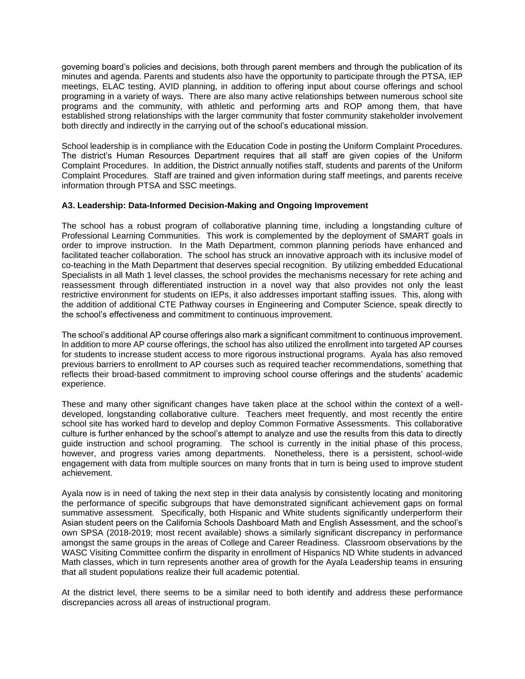governing board's policies and decisions, both through parent members and through the publication of its minutes and agenda. Parents and students also have the opportunity to participate through the PTSA, IEP meetings, ELAC testing, AVID planning, in addition to offering input about course offerings and school programing in a variety of ways. There are also many active relationships between numerous school site programs and the community, with athletic and performing arts and ROP among them, that have established strong relationships with the larger community that foster community stakeholder involvement both directly and indirectly in the carrying out of the school's educational mission.

School leadership is in compliance with the Education Code in posting the Uniform Complaint Procedures. The district's Human Resources Department requires that all staff are given copies of the Uniform Complaint Procedures. In addition, the District annually notifies staff, students and parents of the Uniform Complaint Procedures. Staff are trained and given information during staff meetings, and parents receive information through PTSA and SSC meetings.

#### **A3. Leadership: Data-Informed Decision-Making and Ongoing Improvement**

The school has a robust program of collaborative planning time, including a longstanding culture of Professional Learning Communities. This work is complemented by the deployment of SMART goals in order to improve instruction. In the Math Department, common planning periods have enhanced and facilitated teacher collaboration. The school has struck an innovative approach with its inclusive model of co-teaching in the Math Department that deserves special recognition. By utilizing embedded Educational Specialists in all Math 1 level classes, the school provides the mechanisms necessary for rete aching and reassessment through differentiated instruction in a novel way that also provides not only the least restrictive environment for students on IEPs, it also addresses important staffing issues. This, along with the addition of additional CTE Pathway courses in Engineering and Computer Science, speak directly to the school's effectiveness and commitment to continuous improvement.

The school's additional AP course offerings also mark a significant commitment to continuous improvement. In addition to more AP course offerings, the school has also utilized the enrollment into targeted AP courses for students to increase student access to more rigorous instructional programs. Ayala has also removed previous barriers to enrollment to AP courses such as required teacher recommendations, something that reflects their broad-based commitment to improving school course offerings and the students' academic experience.

These and many other significant changes have taken place at the school within the context of a welldeveloped, longstanding collaborative culture. Teachers meet frequently, and most recently the entire school site has worked hard to develop and deploy Common Formative Assessments. This collaborative culture is further enhanced by the school's attempt to analyze and use the results from this data to directly guide instruction and school programing. The school is currently in the initial phase of this process, however, and progress varies among departments. Nonetheless, there is a persistent, school-wide engagement with data from multiple sources on many fronts that in turn is being used to improve student achievement.

Ayala now is in need of taking the next step in their data analysis by consistently locating and monitoring the performance of specific subgroups that have demonstrated significant achievement gaps on formal summative assessment. Specifically, both Hispanic and White students significantly underperform their Asian student peers on the California Schools Dashboard Math and English Assessment, and the school's own SPSA (2018-2019; most recent available) shows a similarly significant discrepancy in performance amongst the same groups in the areas of College and Career Readiness. Classroom observations by the WASC Visiting Committee confirm the disparity in enrollment of Hispanics ND White students in advanced Math classes, which in turn represents another area of growth for the Ayala Leadership teams in ensuring that all student populations realize their full academic potential.

At the district level, there seems to be a similar need to both identify and address these performance discrepancies across all areas of instructional program.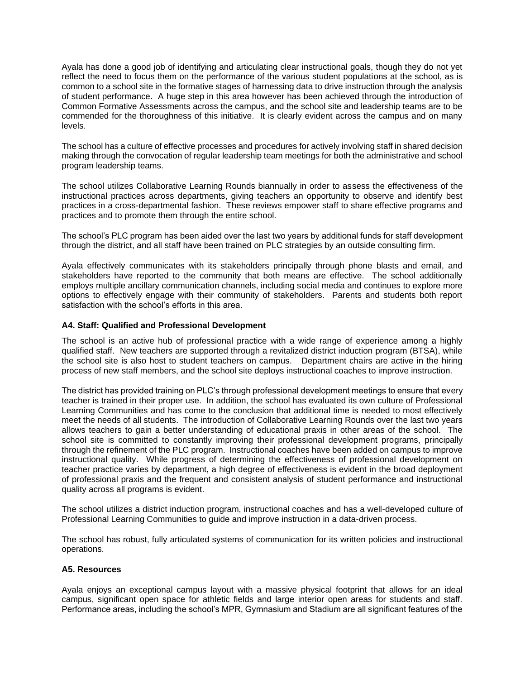Ayala has done a good job of identifying and articulating clear instructional goals, though they do not yet reflect the need to focus them on the performance of the various student populations at the school, as is common to a school site in the formative stages of harnessing data to drive instruction through the analysis of student performance. A huge step in this area however has been achieved through the introduction of Common Formative Assessments across the campus, and the school site and leadership teams are to be commended for the thoroughness of this initiative. It is clearly evident across the campus and on many levels.

The school has a culture of effective processes and procedures for actively involving staff in shared decision making through the convocation of regular leadership team meetings for both the administrative and school program leadership teams.

The school utilizes Collaborative Learning Rounds biannually in order to assess the effectiveness of the instructional practices across departments, giving teachers an opportunity to observe and identify best practices in a cross-departmental fashion. These reviews empower staff to share effective programs and practices and to promote them through the entire school.

The school's PLC program has been aided over the last two years by additional funds for staff development through the district, and all staff have been trained on PLC strategies by an outside consulting firm.

Ayala effectively communicates with its stakeholders principally through phone blasts and email, and stakeholders have reported to the community that both means are effective. The school additionally employs multiple ancillary communication channels, including social media and continues to explore more options to effectively engage with their community of stakeholders. Parents and students both report satisfaction with the school's efforts in this area.

#### **A4. Staff: Qualified and Professional Development**

The school is an active hub of professional practice with a wide range of experience among a highly qualified staff. New teachers are supported through a revitalized district induction program (BTSA), while the school site is also host to student teachers on campus. Department chairs are active in the hiring process of new staff members, and the school site deploys instructional coaches to improve instruction.

The district has provided training on PLC's through professional development meetings to ensure that every teacher is trained in their proper use. In addition, the school has evaluated its own culture of Professional Learning Communities and has come to the conclusion that additional time is needed to most effectively meet the needs of all students. The introduction of Collaborative Learning Rounds over the last two years allows teachers to gain a better understanding of educational praxis in other areas of the school. The school site is committed to constantly improving their professional development programs, principally through the refinement of the PLC program. Instructional coaches have been added on campus to improve instructional quality. While progress of determining the effectiveness of professional development on teacher practice varies by department, a high degree of effectiveness is evident in the broad deployment of professional praxis and the frequent and consistent analysis of student performance and instructional quality across all programs is evident.

The school utilizes a district induction program, instructional coaches and has a well-developed culture of Professional Learning Communities to guide and improve instruction in a data-driven process.

The school has robust, fully articulated systems of communication for its written policies and instructional operations.

#### **A5. Resources**

Ayala enjoys an exceptional campus layout with a massive physical footprint that allows for an ideal campus, significant open space for athletic fields and large interior open areas for students and staff. Performance areas, including the school's MPR, Gymnasium and Stadium are all significant features of the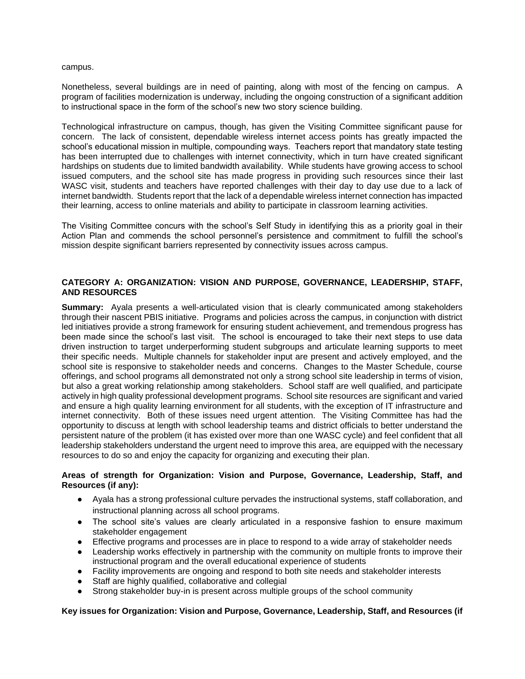campus.

Nonetheless, several buildings are in need of painting, along with most of the fencing on campus. A program of facilities modernization is underway, including the ongoing construction of a significant addition to instructional space in the form of the school's new two story science building.

Technological infrastructure on campus, though, has given the Visiting Committee significant pause for concern. The lack of consistent, dependable wireless internet access points has greatly impacted the school's educational mission in multiple, compounding ways. Teachers report that mandatory state testing has been interrupted due to challenges with internet connectivity, which in turn have created significant hardships on students due to limited bandwidth availability. While students have growing access to school issued computers, and the school site has made progress in providing such resources since their last WASC visit, students and teachers have reported challenges with their day to day use due to a lack of internet bandwidth. Students report that the lack of a dependable wireless internet connection has impacted their learning, access to online materials and ability to participate in classroom learning activities.

The Visiting Committee concurs with the school's Self Study in identifying this as a priority goal in their Action Plan and commends the school personnel's persistence and commitment to fulfill the school's mission despite significant barriers represented by connectivity issues across campus.

#### **CATEGORY A: ORGANIZATION: VISION AND PURPOSE, GOVERNANCE, LEADERSHIP, STAFF, AND RESOURCES**

**Summary:** Ayala presents a well-articulated vision that is clearly communicated among stakeholders through their nascent PBIS initiative. Programs and policies across the campus, in conjunction with district led initiatives provide a strong framework for ensuring student achievement, and tremendous progress has been made since the school's last visit. The school is encouraged to take their next steps to use data driven instruction to target underperforming student subgroups and articulate learning supports to meet their specific needs. Multiple channels for stakeholder input are present and actively employed, and the school site is responsive to stakeholder needs and concerns. Changes to the Master Schedule, course offerings, and school programs all demonstrated not only a strong school site leadership in terms of vision, but also a great working relationship among stakeholders. School staff are well qualified, and participate actively in high quality professional development programs. School site resources are significant and varied and ensure a high quality learning environment for all students, with the exception of IT infrastructure and internet connectivity. Both of these issues need urgent attention. The Visiting Committee has had the opportunity to discuss at length with school leadership teams and district officials to better understand the persistent nature of the problem (it has existed over more than one WASC cycle) and feel confident that all leadership stakeholders understand the urgent need to improve this area, are equipped with the necessary resources to do so and enjoy the capacity for organizing and executing their plan.

#### **Areas of strength for Organization: Vision and Purpose, Governance, Leadership, Staff, and Resources (if any):**

- Ayala has a strong professional culture pervades the instructional systems, staff collaboration, and instructional planning across all school programs.
- The school site's values are clearly articulated in a responsive fashion to ensure maximum stakeholder engagement
- Effective programs and processes are in place to respond to a wide array of stakeholder needs
- Leadership works effectively in partnership with the community on multiple fronts to improve their instructional program and the overall educational experience of students
- Facility improvements are ongoing and respond to both site needs and stakeholder interests
- Staff are highly qualified, collaborative and collegial
- Strong stakeholder buy-in is present across multiple groups of the school community

# **Key issues for Organization: Vision and Purpose, Governance, Leadership, Staff, and Resources (if**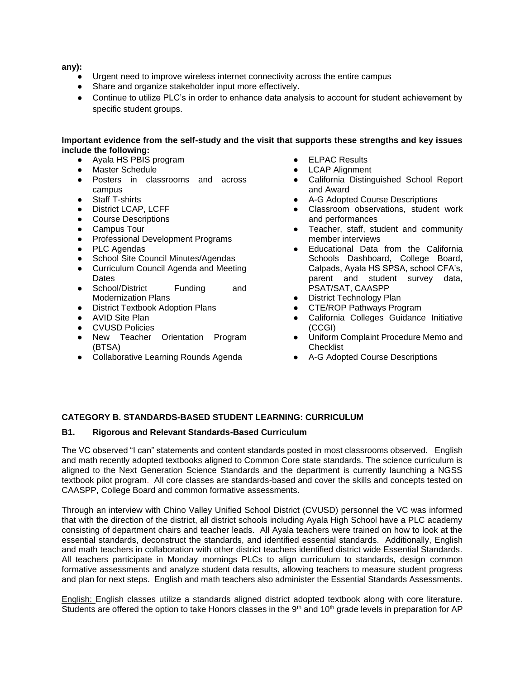**any):**

- Urgent need to improve wireless internet connectivity across the entire campus
- Share and organize stakeholder input more effectively.
- Continue to utilize PLC's in order to enhance data analysis to account for student achievement by specific student groups.

### **Important evidence from the self-study and the visit that supports these strengths and key issues include the following:**

- Ayala HS PBIS program
- **Master Schedule**
- Posters in classrooms and across campus
- Staff T-shirts
- District LCAP, LCFF
- Course Descriptions
- Campus Tour
- Professional Development Programs
- PLC Agendas
- School Site Council Minutes/Agendas
- Curriculum Council Agenda and Meeting **Dates**
- School/District Funding and Modernization Plans
- District Textbook Adoption Plans
- AVID Site Plan
- CVUSD Policies
- New Teacher Orientation Program (BTSA)
- Collaborative Learning Rounds Agenda
- **ELPAC Results**
- **LCAP Alignment**
- California Distinguished School Report and Award
- A-G Adopted Course Descriptions
- Classroom observations, student work and performances
- Teacher, staff, student and community member interviews
- Educational Data from the California Schools Dashboard, College Board, Calpads, Ayala HS SPSA, school CFA's, parent and student survey data, PSAT/SAT, CAASPP
- **District Technology Plan**
- CTE/ROP Pathways Program
- California Colleges Guidance Initiative (CCGI)
- Uniform Complaint Procedure Memo and **Checklist**
- A-G Adopted Course Descriptions

# **CATEGORY B. STANDARDS-BASED STUDENT LEARNING: CURRICULUM**

#### **B1. Rigorous and Relevant Standards-Based Curriculum**

The VC observed "I can" statements and content standards posted in most classrooms observed. English and math recently adopted textbooks aligned to Common Core state standards. The science curriculum is aligned to the Next Generation Science Standards and the department is currently launching a NGSS textbook pilot program. All core classes are standards-based and cover the skills and concepts tested on CAASPP, College Board and common formative assessments.

Through an interview with Chino Valley Unified School District (CVUSD) personnel the VC was informed that with the direction of the district, all district schools including Ayala High School have a PLC academy consisting of department chairs and teacher leads. All Ayala teachers were trained on how to look at the essential standards, deconstruct the standards, and identified essential standards. Additionally, English and math teachers in collaboration with other district teachers identified district wide Essential Standards. All teachers participate in Monday mornings PLCs to align curriculum to standards, design common formative assessments and analyze student data results, allowing teachers to measure student progress and plan for next steps. English and math teachers also administer the Essential Standards Assessments.

English: English classes utilize a standards aligned district adopted textbook along with core literature. Students are offered the option to take Honors classes in the  $9<sup>th</sup>$  and  $10<sup>th</sup>$  grade levels in preparation for AP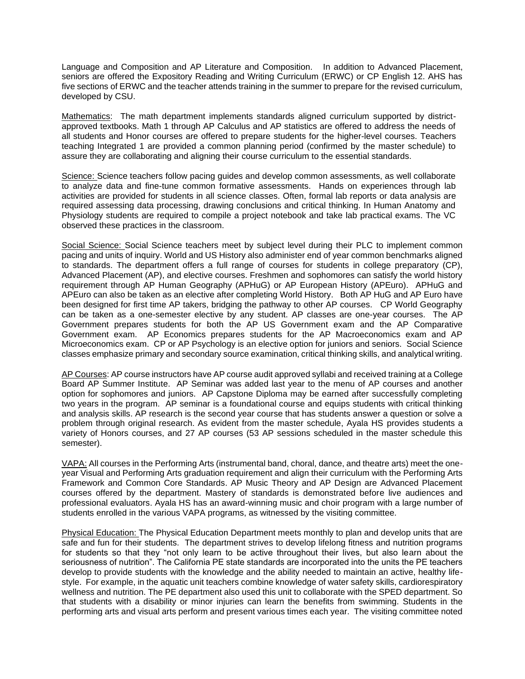Language and Composition and AP Literature and Composition. In addition to Advanced Placement, seniors are offered the Expository Reading and Writing Curriculum (ERWC) or CP English 12. AHS has five sections of ERWC and the teacher attends training in the summer to prepare for the revised curriculum, developed by CSU.

Mathematics: The math department implements standards aligned curriculum supported by districtapproved textbooks. Math 1 through AP Calculus and AP statistics are offered to address the needs of all students and Honor courses are offered to prepare students for the higher-level courses. Teachers teaching Integrated 1 are provided a common planning period (confirmed by the master schedule) to assure they are collaborating and aligning their course curriculum to the essential standards.

Science: Science teachers follow pacing guides and develop common assessments, as well collaborate to analyze data and fine-tune common formative assessments. Hands on experiences through lab activities are provided for students in all science classes. Often, formal lab reports or data analysis are required assessing data processing, drawing conclusions and critical thinking. In Human Anatomy and Physiology students are required to compile a project notebook and take lab practical exams. The VC observed these practices in the classroom.

Social Science: Social Science teachers meet by subject level during their PLC to implement common pacing and units of inquiry. World and US History also administer end of year common benchmarks aligned to standards. The department offers a full range of courses for students in college preparatory (CP), Advanced Placement (AP), and elective courses. Freshmen and sophomores can satisfy the world history requirement through AP Human Geography (APHuG) or AP European History (APEuro). APHuG and APEuro can also be taken as an elective after completing World History. Both AP HuG and AP Euro have been designed for first time AP takers, bridging the pathway to other AP courses. CP World Geography can be taken as a one-semester elective by any student. AP classes are one-year courses. The AP Government prepares students for both the AP US Government exam and the AP Comparative Government exam. AP Economics prepares students for the AP Macroeconomics exam and AP Microeconomics exam. CP or AP Psychology is an elective option for juniors and seniors. Social Science classes emphasize primary and secondary source examination, critical thinking skills, and analytical writing.

AP Courses: AP course instructors have AP course audit approved syllabi and received training at a College Board AP Summer Institute. AP Seminar was added last year to the menu of AP courses and another option for sophomores and juniors. AP Capstone Diploma may be earned after successfully completing two years in the program. AP seminar is a foundational course and equips students with critical thinking and analysis skills. AP research is the second year course that has students answer a question or solve a problem through original research. As evident from the master schedule, Ayala HS provides students a variety of Honors courses, and 27 AP courses (53 AP sessions scheduled in the master schedule this semester).

VAPA: All courses in the Performing Arts (instrumental band, choral, dance, and theatre arts) meet the oneyear Visual and Performing Arts graduation requirement and align their curriculum with the Performing Arts Framework and Common Core Standards. AP Music Theory and AP Design are Advanced Placement courses offered by the department. Mastery of standards is demonstrated before live audiences and professional evaluators. Ayala HS has an award-winning music and choir program with a large number of students enrolled in the various VAPA programs, as witnessed by the visiting committee.

Physical Education: The Physical Education Department meets monthly to plan and develop units that are safe and fun for their students. The department strives to develop lifelong fitness and nutrition programs for students so that they "not only learn to be active throughout their lives, but also learn about the seriousness of nutrition". The California PE state standards are incorporated into the units the PE teachers develop to provide students with the knowledge and the ability needed to maintain an active, healthy lifestyle. For example, in the aquatic unit teachers combine knowledge of water safety skills, cardiorespiratory wellness and nutrition. The PE department also used this unit to collaborate with the SPED department. So that students with a disability or minor injuries can learn the benefits from swimming. Students in the performing arts and visual arts perform and present various times each year. The visiting committee noted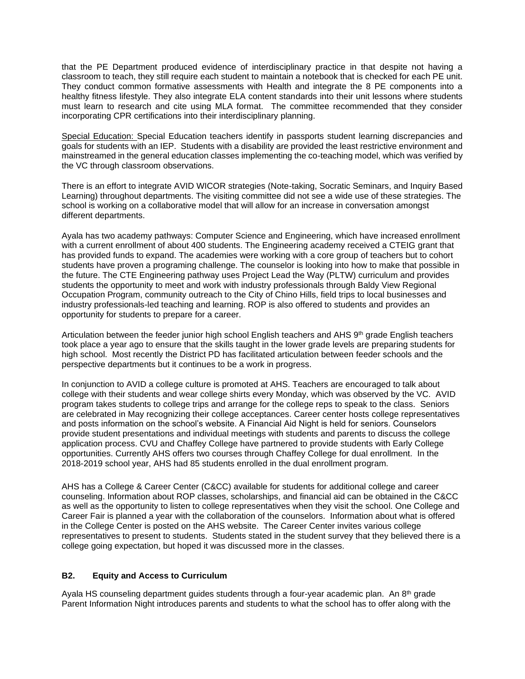that the PE Department produced evidence of interdisciplinary practice in that despite not having a classroom to teach, they still require each student to maintain a notebook that is checked for each PE unit. They conduct common formative assessments with Health and integrate the 8 PE components into a healthy fitness lifestyle. They also integrate ELA content standards into their unit lessons where students must learn to research and cite using MLA format. The committee recommended that they consider incorporating CPR certifications into their interdisciplinary planning.

Special Education: Special Education teachers identify in passports student learning discrepancies and goals for students with an IEP. Students with a disability are provided the least restrictive environment and mainstreamed in the general education classes implementing the co-teaching model, which was verified by the VC through classroom observations.

There is an effort to integrate AVID WICOR strategies (Note-taking, Socratic Seminars, and Inquiry Based Learning) throughout departments. The visiting committee did not see a wide use of these strategies. The school is working on a collaborative model that will allow for an increase in conversation amongst different departments.

Ayala has two academy pathways: Computer Science and Engineering, which have increased enrollment with a current enrollment of about 400 students. The Engineering academy received a CTEIG grant that has provided funds to expand. The academies were working with a core group of teachers but to cohort students have proven a programing challenge. The counselor is looking into how to make that possible in the future. The CTE Engineering pathway uses Project Lead the Way (PLTW) curriculum and provides students the opportunity to meet and work with industry professionals through Baldy View Regional Occupation Program, community outreach to the City of Chino Hills, field trips to local businesses and industry professionals-led teaching and learning. ROP is also offered to students and provides an opportunity for students to prepare for a career.

Articulation between the feeder junior high school English teachers and AHS 9<sup>th</sup> grade English teachers took place a year ago to ensure that the skills taught in the lower grade levels are preparing students for high school. Most recently the District PD has facilitated articulation between feeder schools and the perspective departments but it continues to be a work in progress.

In conjunction to AVID a college culture is promoted at AHS. Teachers are encouraged to talk about college with their students and wear college shirts every Monday, which was observed by the VC. AVID program takes students to college trips and arrange for the college reps to speak to the class. Seniors are celebrated in May recognizing their college acceptances. Career center hosts college representatives and posts information on the school's website. A Financial Aid Night is held for seniors. Counselors provide student presentations and individual meetings with students and parents to discuss the college application process. CVU and Chaffey College have partnered to provide students with Early College opportunities. Currently AHS offers two courses through Chaffey College for dual enrollment. In the 2018-2019 school year, AHS had 85 students enrolled in the dual enrollment program.

AHS has a College & Career Center (C&CC) available for students for additional college and career counseling. Information about ROP classes, scholarships, and financial aid can be obtained in the C&CC as well as the opportunity to listen to college representatives when they visit the school. One College and Career Fair is planned a year with the collaboration of the counselors. Information about what is offered in the College Center is posted on the AHS website. The Career Center invites various college representatives to present to students. Students stated in the student survey that they believed there is a college going expectation, but hoped it was discussed more in the classes.

# **B2. Equity and Access to Curriculum**

Ayala HS counseling department guides students through a four-year academic plan. An 8<sup>th</sup> grade Parent Information Night introduces parents and students to what the school has to offer along with the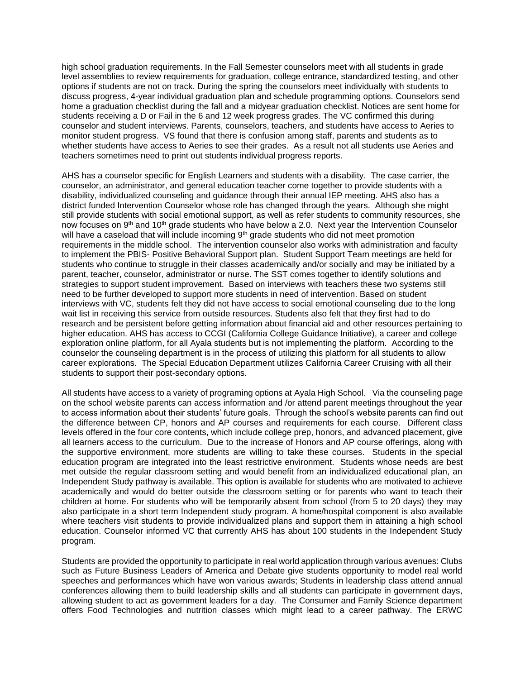high school graduation requirements. In the Fall Semester counselors meet with all students in grade level assemblies to review requirements for graduation, college entrance, standardized testing, and other options if students are not on track. During the spring the counselors meet individually with students to discuss progress, 4-year individual graduation plan and schedule programming options. Counselors send home a graduation checklist during the fall and a midyear graduation checklist. Notices are sent home for students receiving a D or Fail in the 6 and 12 week progress grades. The VC confirmed this during counselor and student interviews. Parents, counselors, teachers, and students have access to Aeries to monitor student progress. VS found that there is confusion among staff, parents and students as to whether students have access to Aeries to see their grades. As a result not all students use Aeries and teachers sometimes need to print out students individual progress reports.

AHS has a counselor specific for English Learners and students with a disability. The case carrier, the counselor, an administrator, and general education teacher come together to provide students with a disability, individualized counseling and guidance through their annual IEP meeting. AHS also has a district funded Intervention Counselor whose role has changed through the years. Although she might still provide students with social emotional support, as well as refer students to community resources, she now focuses on 9<sup>th</sup> and 10<sup>th</sup> grade students who have below a 2.0. Next year the Intervention Counselor will have a caseload that will include incoming  $9<sup>th</sup>$  grade students who did not meet promotion requirements in the middle school. The intervention counselor also works with administration and faculty to implement the PBIS- Positive Behavioral Support plan. Student Support Team meetings are held for students who continue to struggle in their classes academically and/or socially and may be initiated by a parent, teacher, counselor, administrator or nurse. The SST comes together to identify solutions and strategies to support student improvement. Based on interviews with teachers these two systems still need to be further developed to support more students in need of intervention. Based on student interviews with VC, students felt they did not have access to social emotional counseling due to the long wait list in receiving this service from outside resources. Students also felt that they first had to do research and be persistent before getting information about financial aid and other resources pertaining to higher education. AHS has access to CCGI (California College Guidance Initiative), a career and college exploration online platform, for all Ayala students but is not implementing the platform. According to the counselor the counseling department is in the process of utilizing this platform for all students to allow career explorations. The Special Education Department utilizes California Career Cruising with all their students to support their post-secondary options.

All students have access to a variety of programing options at Ayala High School. Via the counseling page on the school website parents can access information and /or attend parent meetings throughout the year to access information about their students' future goals. Through the school's website parents can find out the difference between CP, honors and AP courses and requirements for each course. Different class levels offered in the four core contents, which include college prep, honors, and advanced placement, give all learners access to the curriculum. Due to the increase of Honors and AP course offerings, along with the supportive environment, more students are willing to take these courses. Students in the special education program are integrated into the least restrictive environment. Students whose needs are best met outside the regular classroom setting and would benefit from an individualized educational plan, an Independent Study pathway is available. This option is available for students who are motivated to achieve academically and would do better outside the classroom setting or for parents who want to teach their children at home. For students who will be temporarily absent from school (from 5 to 20 days) they may also participate in a short term Independent study program. A home/hospital component is also available where teachers visit students to provide individualized plans and support them in attaining a high school education. Counselor informed VC that currently AHS has about 100 students in the Independent Study program.

Students are provided the opportunity to participate in real world application through various avenues: Clubs such as Future Business Leaders of America and Debate give students opportunity to model real world speeches and performances which have won various awards; Students in leadership class attend annual conferences allowing them to build leadership skills and all students can participate in government days, allowing student to act as government leaders for a day. The Consumer and Family Science department offers Food Technologies and nutrition classes which might lead to a career pathway. The ERWC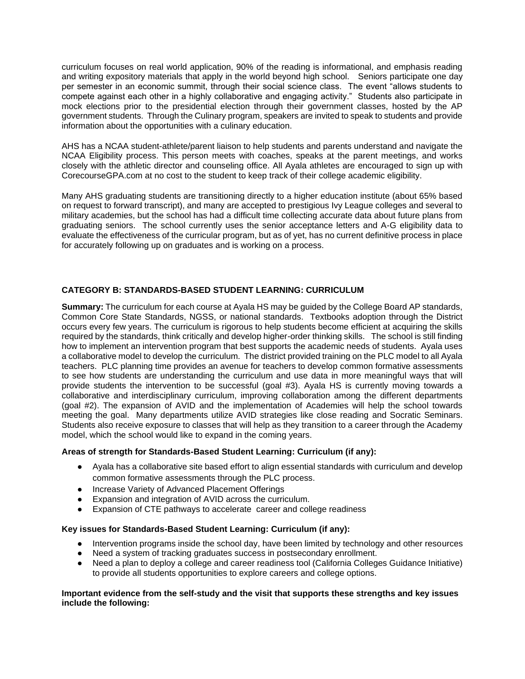curriculum focuses on real world application, 90% of the reading is informational, and emphasis reading and writing expository materials that apply in the world beyond high school. Seniors participate one day per semester in an economic summit, through their social science class. The event "allows students to compete against each other in a highly collaborative and engaging activity." Students also participate in mock elections prior to the presidential election through their government classes, hosted by the AP government students. Through the Culinary program, speakers are invited to speak to students and provide information about the opportunities with a culinary education.

AHS has a NCAA student-athlete/parent liaison to help students and parents understand and navigate the NCAA Eligibility process. This person meets with coaches, speaks at the parent meetings, and works closely with the athletic director and counseling office. All Ayala athletes are encouraged to sign up with CorecourseGPA.com at no cost to the student to keep track of their college academic eligibility.

Many AHS graduating students are transitioning directly to a higher education institute (about 65% based on request to forward transcript), and many are accepted to prestigious Ivy League colleges and several to military academies, but the school has had a difficult time collecting accurate data about future plans from graduating seniors. The school currently uses the senior acceptance letters and A-G eligibility data to evaluate the effectiveness of the curricular program, but as of yet, has no current definitive process in place for accurately following up on graduates and is working on a process.

# **CATEGORY B: STANDARDS-BASED STUDENT LEARNING: CURRICULUM**

**Summary:** The curriculum for each course at Ayala HS may be guided by the College Board AP standards, Common Core State Standards, NGSS, or national standards. Textbooks adoption through the District occurs every few years. The curriculum is rigorous to help students become efficient at acquiring the skills required by the standards, think critically and develop higher-order thinking skills. The school is still finding how to implement an intervention program that best supports the academic needs of students. Ayala uses a collaborative model to develop the curriculum. The district provided training on the PLC model to all Ayala teachers. PLC planning time provides an avenue for teachers to develop common formative assessments to see how students are understanding the curriculum and use data in more meaningful ways that will provide students the intervention to be successful (goal #3). Ayala HS is currently moving towards a collaborative and interdisciplinary curriculum, improving collaboration among the different departments (goal #2). The expansion of AVID and the implementation of Academies will help the school towards meeting the goal. Many departments utilize AVID strategies like close reading and Socratic Seminars. Students also receive exposure to classes that will help as they transition to a career through the Academy model, which the school would like to expand in the coming years.

# **Areas of strength for Standards-Based Student Learning: Curriculum (if any):**

- Ayala has a collaborative site based effort to align essential standards with curriculum and develop common formative assessments through the PLC process.
- Increase Variety of Advanced Placement Offerings
- Expansion and integration of AVID across the curriculum.
- Expansion of CTE pathways to accelerate career and college readiness

#### **Key issues for Standards-Based Student Learning: Curriculum (if any):**

- Intervention programs inside the school day, have been limited by technology and other resources
- Need a system of tracking graduates success in postsecondary enrollment.
- Need a plan to deploy a college and career readiness tool (California Colleges Guidance Initiative) to provide all students opportunities to explore careers and college options.

### **Important evidence from the self-study and the visit that supports these strengths and key issues include the following:**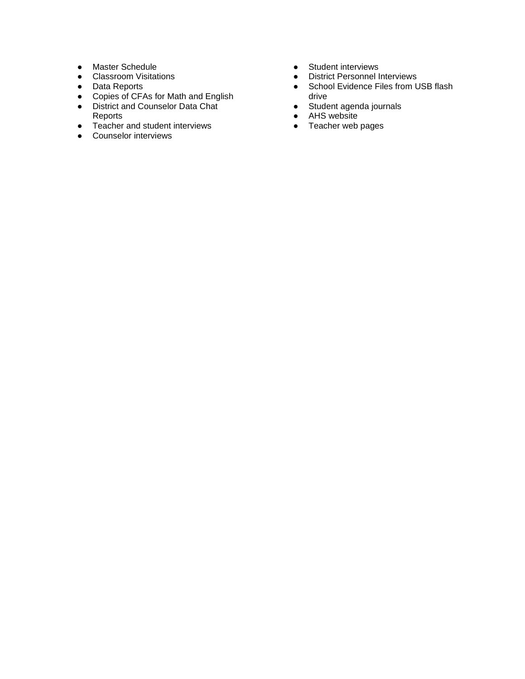- Master Schedule
- Classroom Visitations
- Data Reports
- Copies of CFAs for Math and English
- District and Counselor Data Chat
- Reports
- Teacher and student interviews
- Counselor interviews
- Student interviews
- District Personnel Interviews
- School Evidence Files from USB flash drive
- Student agenda journals
- AHS website
- Teacher web pages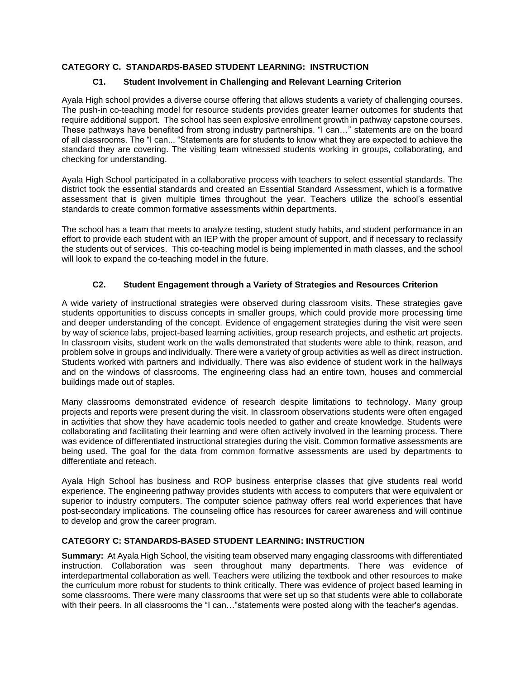# **CATEGORY C. STANDARDS-BASED STUDENT LEARNING: INSTRUCTION**

# **C1. Student Involvement in Challenging and Relevant Learning Criterion**

Ayala High school provides a diverse course offering that allows students a variety of challenging courses. The push-in co-teaching model for resource students provides greater learner outcomes for students that require additional support. The school has seen explosive enrollment growth in pathway capstone courses. These pathways have benefited from strong industry partnerships. "I can…" statements are on the board of all classrooms. The "I can... "Statements are for students to know what they are expected to achieve the standard they are covering. The visiting team witnessed students working in groups, collaborating, and checking for understanding.

Ayala High School participated in a collaborative process with teachers to select essential standards. The district took the essential standards and created an Essential Standard Assessment, which is a formative assessment that is given multiple times throughout the year. Teachers utilize the school's essential standards to create common formative assessments within departments.

The school has a team that meets to analyze testing, student study habits, and student performance in an effort to provide each student with an IEP with the proper amount of support, and if necessary to reclassify the students out of services. This co-teaching model is being implemented in math classes, and the school will look to expand the co-teaching model in the future.

# **C2. Student Engagement through a Variety of Strategies and Resources Criterion**

A wide variety of instructional strategies were observed during classroom visits. These strategies gave students opportunities to discuss concepts in smaller groups, which could provide more processing time and deeper understanding of the concept. Evidence of engagement strategies during the visit were seen by way of science labs, project-based learning activities, group research projects, and esthetic art projects. In classroom visits, student work on the walls demonstrated that students were able to think, reason, and problem solve in groups and individually. There were a variety of group activities as well as direct instruction. Students worked with partners and individually. There was also evidence of student work in the hallways and on the windows of classrooms. The engineering class had an entire town, houses and commercial buildings made out of staples.

Many classrooms demonstrated evidence of research despite limitations to technology. Many group projects and reports were present during the visit. In classroom observations students were often engaged in activities that show they have academic tools needed to gather and create knowledge. Students were collaborating and facilitating their learning and were often actively involved in the learning process. There was evidence of differentiated instructional strategies during the visit. Common formative assessments are being used. The goal for the data from common formative assessments are used by departments to differentiate and reteach.

Ayala High School has business and ROP business enterprise classes that give students real world experience. The engineering pathway provides students with access to computers that were equivalent or superior to industry computers. The computer science pathway offers real world experiences that have post-secondary implications. The counseling office has resources for career awareness and will continue to develop and grow the career program.

# **CATEGORY C: STANDARDS-BASED STUDENT LEARNING: INSTRUCTION**

**Summary:** At Ayala High School, the visiting team observed many engaging classrooms with differentiated instruction. Collaboration was seen throughout many departments. There was evidence of interdepartmental collaboration as well. Teachers were utilizing the textbook and other resources to make the curriculum more robust for students to think critically. There was evidence of project based learning in some classrooms. There were many classrooms that were set up so that students were able to collaborate with their peers. In all classrooms the "I can..." statements were posted along with the teacher's agendas.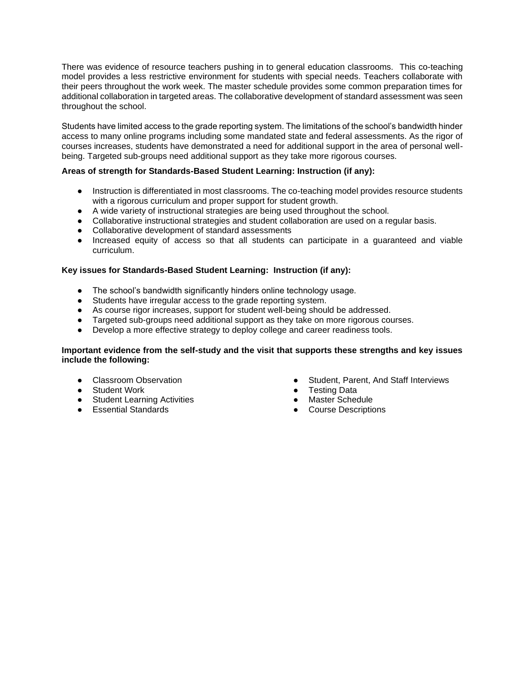There was evidence of resource teachers pushing in to general education classrooms. This co-teaching model provides a less restrictive environment for students with special needs. Teachers collaborate with their peers throughout the work week. The master schedule provides some common preparation times for additional collaboration in targeted areas. The collaborative development of standard assessment was seen throughout the school.

Students have limited access to the grade reporting system. The limitations of the school's bandwidth hinder access to many online programs including some mandated state and federal assessments. As the rigor of courses increases, students have demonstrated a need for additional support in the area of personal wellbeing. Targeted sub-groups need additional support as they take more rigorous courses.

# **Areas of strength for Standards-Based Student Learning: Instruction (if any):**

- Instruction is differentiated in most classrooms. The co-teaching model provides resource students with a rigorous curriculum and proper support for student growth.
- A wide variety of instructional strategies are being used throughout the school.
- Collaborative instructional strategies and student collaboration are used on a regular basis.
- Collaborative development of standard assessments
- Increased equity of access so that all students can participate in a guaranteed and viable curriculum.

#### **Key issues for Standards-Based Student Learning: Instruction (if any):**

- The school's bandwidth significantly hinders online technology usage.
- Students have irregular access to the grade reporting system.
- As course rigor increases, support for student well-being should be addressed.
- Targeted sub-groups need additional support as they take on more rigorous courses.
- Develop a more effective strategy to deploy college and career readiness tools.

#### **Important evidence from the self-study and the visit that supports these strengths and key issues include the following:**

- Classroom Observation
- Student Work
- Student Learning Activities
- Essential Standards
- Student, Parent, And Staff Interviews
- **Testing Data**
- Master Schedule
- Course Descriptions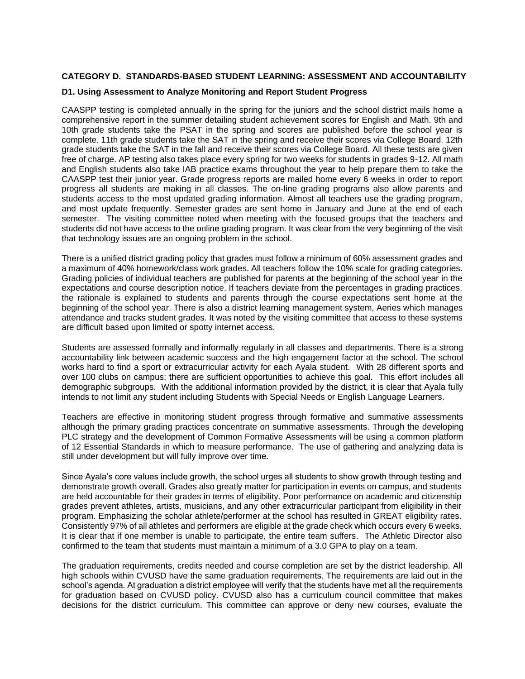#### **CATEGORY D. STANDARDS-BASED STUDENT LEARNING: ASSESSMENT AND ACCOUNTABILITY**

#### **D1. Using Assessment to Analyze Monitoring and Report Student Progress**

CAASPP testing is completed annually in the spring for the juniors and the school district mails home a comprehensive report in the summer detailing student achievement scores for English and Math. 9th and 10th grade students take the PSAT in the spring and scores are published before the school year is complete. 11th grade students take the SAT in the spring and receive their scores via College Board. 12th grade students take the SAT in the fall and receive their scores via College Board. All these tests are given free of charge. AP testing also takes place every spring for two weeks for students in grades 9-12. All math and English students also take IAB practice exams throughout the year to help prepare them to take the CAASPP test their junior year. Grade progress reports are mailed home every 6 weeks in order to report progress all students are making in all classes. The on-line grading programs also allow parents and students access to the most updated grading information. Almost all teachers use the grading program, and most update frequently. Semester grades are sent home in January and June at the end of each semester. The visiting committee noted when meeting with the focused groups that the teachers and students did not have access to the online grading program. It was clear from the very beginning of the visit that technology issues are an ongoing problem in the school.

There is a unified district grading policy that grades must follow a minimum of 60% assessment grades and a maximum of 40% homework/class work grades. All teachers follow the 10% scale for grading categories. Grading policies of individual teachers are published for parents at the beginning of the school year in the expectations and course description notice. If teachers deviate from the percentages in grading practices, the rationale is explained to students and parents through the course expectations sent home at the beginning of the school year. There is also a district learning management system, Aeries which manages attendance and tracks student grades. It was noted by the visiting committee that access to these systems are difficult based upon limited or spotty internet access.

Students are assessed formally and informally regularly in all classes and departments. There is a strong accountability link between academic success and the high engagement factor at the school. The school works hard to find a sport or extracurricular activity for each Ayala student. With 28 different sports and over 100 clubs on campus; there are sufficient opportunities to achieve this goal. This effort includes all demographic subgroups. With the additional information provided by the district, it is clear that Ayala fully intends to not limit any student including Students with Special Needs or English Language Learners.

Teachers are effective in monitoring student progress through formative and summative assessments although the primary grading practices concentrate on summative assessments. Through the developing PLC strategy and the development of Common Formative Assessments will be using a common platform of 12 Essential Standards in which to measure performance. The use of gathering and analyzing data is still under development but will fully improve over time.

Since Ayala's core values include growth, the school urges all students to show growth through testing and demonstrate growth overall. Grades also greatly matter for participation in events on campus, and students are held accountable for their grades in terms of eligibility. Poor performance on academic and citizenship grades prevent athletes, artists, musicians, and any other extracurricular participant from eligibility in their program. Emphasizing the scholar athlete/performer at the school has resulted in GREAT eligibility rates. Consistently 97% of all athletes and performers are eligible at the grade check which occurs every 6 weeks. It is clear that if one member is unable to participate, the entire team suffers. The Athletic Director also confirmed to the team that students must maintain a minimum of a 3.0 GPA to play on a team.

The graduation requirements, credits needed and course completion are set by the district leadership. All high schools within CVUSD have the same graduation requirements. The requirements are laid out in the school's agenda. At graduation a district employee will verify that the students have met all the requirements for graduation based on CVUSD policy. CVUSD also has a curriculum council committee that makes decisions for the district curriculum. This committee can approve or deny new courses, evaluate the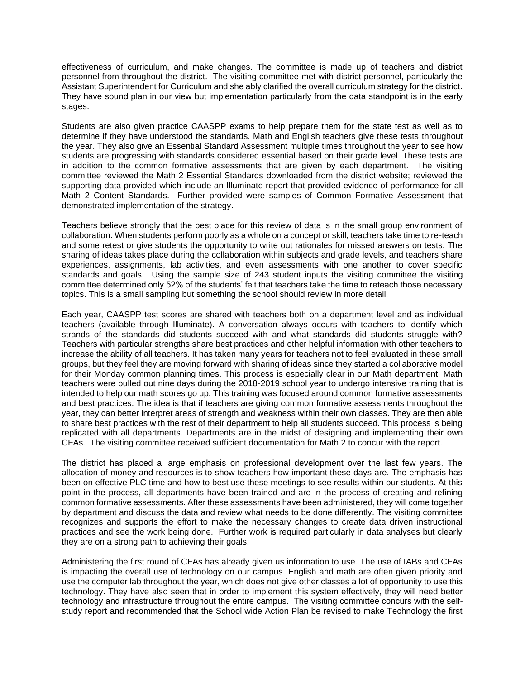effectiveness of curriculum, and make changes. The committee is made up of teachers and district personnel from throughout the district. The visiting committee met with district personnel, particularly the Assistant Superintendent for Curriculum and she ably clarified the overall curriculum strategy for the district. They have sound plan in our view but implementation particularly from the data standpoint is in the early stages.

Students are also given practice CAASPP exams to help prepare them for the state test as well as to determine if they have understood the standards. Math and English teachers give these tests throughout the year. They also give an Essential Standard Assessment multiple times throughout the year to see how students are progressing with standards considered essential based on their grade level. These tests are in addition to the common formative assessments that are given by each department. The visiting committee reviewed the Math 2 Essential Standards downloaded from the district website; reviewed the supporting data provided which include an Illuminate report that provided evidence of performance for all Math 2 Content Standards. Further provided were samples of Common Formative Assessment that demonstrated implementation of the strategy.

Teachers believe strongly that the best place for this review of data is in the small group environment of collaboration. When students perform poorly as a whole on a concept or skill, teachers take time to re-teach and some retest or give students the opportunity to write out rationales for missed answers on tests. The sharing of ideas takes place during the collaboration within subjects and grade levels, and teachers share experiences, assignments, lab activities, and even assessments with one another to cover specific standards and goals. Using the sample size of 243 student inputs the visiting committee the visiting committee determined only 52% of the students' felt that teachers take the time to reteach those necessary topics. This is a small sampling but something the school should review in more detail.

Each year, CAASPP test scores are shared with teachers both on a department level and as individual teachers (available through Illuminate). A conversation always occurs with teachers to identify which strands of the standards did students succeed with and what standards did students struggle with? Teachers with particular strengths share best practices and other helpful information with other teachers to increase the ability of all teachers. It has taken many years for teachers not to feel evaluated in these small groups, but they feel they are moving forward with sharing of ideas since they started a collaborative model for their Monday common planning times. This process is especially clear in our Math department. Math teachers were pulled out nine days during the 2018-2019 school year to undergo intensive training that is intended to help our math scores go up. This training was focused around common formative assessments and best practices. The idea is that if teachers are giving common formative assessments throughout the year, they can better interpret areas of strength and weakness within their own classes. They are then able to share best practices with the rest of their department to help all students succeed. This process is being replicated with all departments. Departments are in the midst of designing and implementing their own CFAs. The visiting committee received sufficient documentation for Math 2 to concur with the report.

The district has placed a large emphasis on professional development over the last few years. The allocation of money and resources is to show teachers how important these days are. The emphasis has been on effective PLC time and how to best use these meetings to see results within our students. At this point in the process, all departments have been trained and are in the process of creating and refining common formative assessments. After these assessments have been administered, they will come together by department and discuss the data and review what needs to be done differently. The visiting committee recognizes and supports the effort to make the necessary changes to create data driven instructional practices and see the work being done. Further work is required particularly in data analyses but clearly they are on a strong path to achieving their goals.

Administering the first round of CFAs has already given us information to use. The use of IABs and CFAs is impacting the overall use of technology on our campus. English and math are often given priority and use the computer lab throughout the year, which does not give other classes a lot of opportunity to use this technology. They have also seen that in order to implement this system effectively, they will need better technology and infrastructure throughout the entire campus. The visiting committee concurs with the selfstudy report and recommended that the School wide Action Plan be revised to make Technology the first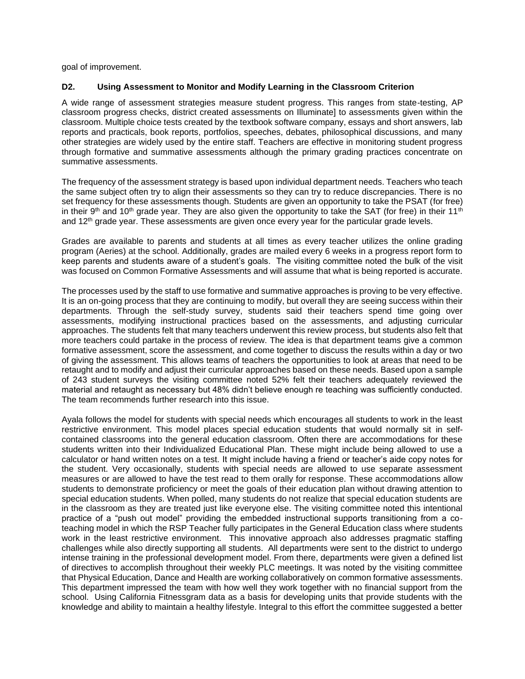goal of improvement.

#### **D2. Using Assessment to Monitor and Modify Learning in the Classroom Criterion**

A wide range of assessment strategies measure student progress. This ranges from state-testing, AP classroom progress checks, district created assessments on Illuminate] to assessments given within the classroom. Multiple choice tests created by the textbook software company, essays and short answers, lab reports and practicals, book reports, portfolios, speeches, debates, philosophical discussions, and many other strategies are widely used by the entire staff. Teachers are effective in monitoring student progress through formative and summative assessments although the primary grading practices concentrate on summative assessments.

The frequency of the assessment strategy is based upon individual department needs. Teachers who teach the same subject often try to align their assessments so they can try to reduce discrepancies. There is no set frequency for these assessments though. Students are given an opportunity to take the PSAT (for free) in their 9<sup>th</sup> and 10<sup>th</sup> grade year. They are also given the opportunity to take the SAT (for free) in their 11<sup>th</sup> and 12<sup>th</sup> grade year. These assessments are given once every year for the particular grade levels.

Grades are available to parents and students at all times as every teacher utilizes the online grading program (Aeries) at the school. Additionally, grades are mailed every 6 weeks in a progress report form to keep parents and students aware of a student's goals. The visiting committee noted the bulk of the visit was focused on Common Formative Assessments and will assume that what is being reported is accurate.

The processes used by the staff to use formative and summative approaches is proving to be very effective. It is an on-going process that they are continuing to modify, but overall they are seeing success within their departments. Through the self-study survey, students said their teachers spend time going over assessments, modifying instructional practices based on the assessments, and adjusting curricular approaches. The students felt that many teachers underwent this review process, but students also felt that more teachers could partake in the process of review. The idea is that department teams give a common formative assessment, score the assessment, and come together to discuss the results within a day or two of giving the assessment. This allows teams of teachers the opportunities to look at areas that need to be retaught and to modify and adjust their curricular approaches based on these needs. Based upon a sample of 243 student surveys the visiting committee noted 52% felt their teachers adequately reviewed the material and retaught as necessary but 48% didn't believe enough re teaching was sufficiently conducted. The team recommends further research into this issue.

Ayala follows the model for students with special needs which encourages all students to work in the least restrictive environment. This model places special education students that would normally sit in selfcontained classrooms into the general education classroom. Often there are accommodations for these students written into their Individualized Educational Plan. These might include being allowed to use a calculator or hand written notes on a test. It might include having a friend or teacher's aide copy notes for the student. Very occasionally, students with special needs are allowed to use separate assessment measures or are allowed to have the test read to them orally for response. These accommodations allow students to demonstrate proficiency or meet the goals of their education plan without drawing attention to special education students. When polled, many students do not realize that special education students are in the classroom as they are treated just like everyone else. The visiting committee noted this intentional practice of a "push out model" providing the embedded instructional supports transitioning from a coteaching model in which the RSP Teacher fully participates in the General Education class where students work in the least restrictive environment. This innovative approach also addresses pragmatic staffing challenges while also directly supporting all students. All departments were sent to the district to undergo intense training in the professional development model. From there, departments were given a defined list of directives to accomplish throughout their weekly PLC meetings. It was noted by the visiting committee that Physical Education, Dance and Health are working collaboratively on common formative assessments. This department impressed the team with how well they work together with no financial support from the school. Using California Fitnessgram data as a basis for developing units that provide students with the knowledge and ability to maintain a healthy lifestyle. Integral to this effort the committee suggested a better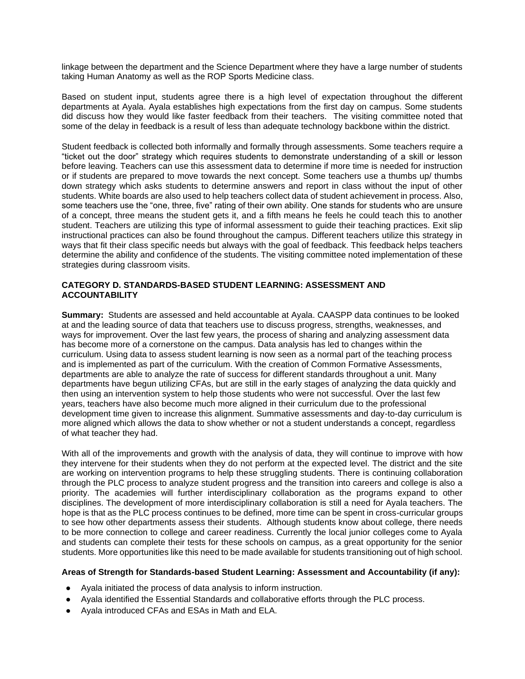linkage between the department and the Science Department where they have a large number of students taking Human Anatomy as well as the ROP Sports Medicine class.

Based on student input, students agree there is a high level of expectation throughout the different departments at Ayala. Ayala establishes high expectations from the first day on campus. Some students did discuss how they would like faster feedback from their teachers. The visiting committee noted that some of the delay in feedback is a result of less than adequate technology backbone within the district.

Student feedback is collected both informally and formally through assessments. Some teachers require a "ticket out the door" strategy which requires students to demonstrate understanding of a skill or lesson before leaving. Teachers can use this assessment data to determine if more time is needed for instruction or if students are prepared to move towards the next concept. Some teachers use a thumbs up/ thumbs down strategy which asks students to determine answers and report in class without the input of other students. White boards are also used to help teachers collect data of student achievement in process. Also, some teachers use the "one, three, five" rating of their own ability. One stands for students who are unsure of a concept, three means the student gets it, and a fifth means he feels he could teach this to another student. Teachers are utilizing this type of informal assessment to guide their teaching practices. Exit slip instructional practices can also be found throughout the campus. Different teachers utilize this strategy in ways that fit their class specific needs but always with the goal of feedback. This feedback helps teachers determine the ability and confidence of the students. The visiting committee noted implementation of these strategies during classroom visits.

#### **CATEGORY D. STANDARDS-BASED STUDENT LEARNING: ASSESSMENT AND ACCOUNTABILITY**

**Summary:** Students are assessed and held accountable at Ayala. CAASPP data continues to be looked at and the leading source of data that teachers use to discuss progress, strengths, weaknesses, and ways for improvement. Over the last few years, the process of sharing and analyzing assessment data has become more of a cornerstone on the campus. Data analysis has led to changes within the curriculum. Using data to assess student learning is now seen as a normal part of the teaching process and is implemented as part of the curriculum. With the creation of Common Formative Assessments, departments are able to analyze the rate of success for different standards throughout a unit. Many departments have begun utilizing CFAs, but are still in the early stages of analyzing the data quickly and then using an intervention system to help those students who were not successful. Over the last few years, teachers have also become much more aligned in their curriculum due to the professional development time given to increase this alignment. Summative assessments and day-to-day curriculum is more aligned which allows the data to show whether or not a student understands a concept, regardless of what teacher they had.

With all of the improvements and growth with the analysis of data, they will continue to improve with how they intervene for their students when they do not perform at the expected level. The district and the site are working on intervention programs to help these struggling students. There is continuing collaboration through the PLC process to analyze student progress and the transition into careers and college is also a priority. The academies will further interdisciplinary collaboration as the programs expand to other disciplines. The development of more interdisciplinary collaboration is still a need for Ayala teachers. The hope is that as the PLC process continues to be defined, more time can be spent in cross-curricular groups to see how other departments assess their students. Although students know about college, there needs to be more connection to college and career readiness. Currently the local junior colleges come to Ayala and students can complete their tests for these schools on campus, as a great opportunity for the senior students. More opportunities like this need to be made available for students transitioning out of high school.

#### **Areas of Strength for Standards-based Student Learning: Assessment and Accountability (if any):**

- Ayala initiated the process of data analysis to inform instruction.
- Ayala identified the Essential Standards and collaborative efforts through the PLC process.
- Ayala introduced CFAs and ESAs in Math and ELA.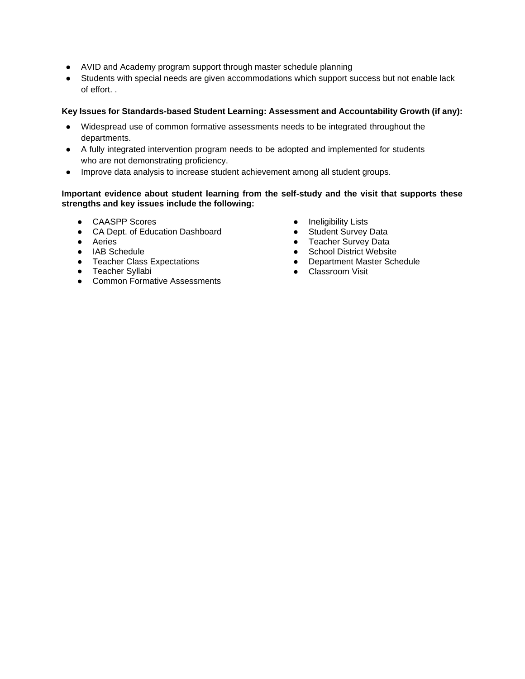- AVID and Academy program support through master schedule planning
- Students with special needs are given accommodations which support success but not enable lack of effort. .

### **Key Issues for Standards-based Student Learning: Assessment and Accountability Growth (if any):**

- Widespread use of common formative assessments needs to be integrated throughout the departments.
- A fully integrated intervention program needs to be adopted and implemented for students who are not demonstrating proficiency.
- Improve data analysis to increase student achievement among all student groups.

### **Important evidence about student learning from the self-study and the visit that supports these strengths and key issues include the following:**

- CAASPP Scores
- CA Dept. of Education Dashboard
- Aeries
- IAB Schedule
- Teacher Class Expectations
- Teacher Syllabi
- Common Formative Assessments
- Ineligibility Lists
- Student Survey Data
- Teacher Survey Data
- School District Website
- Department Master Schedule
- Classroom Visit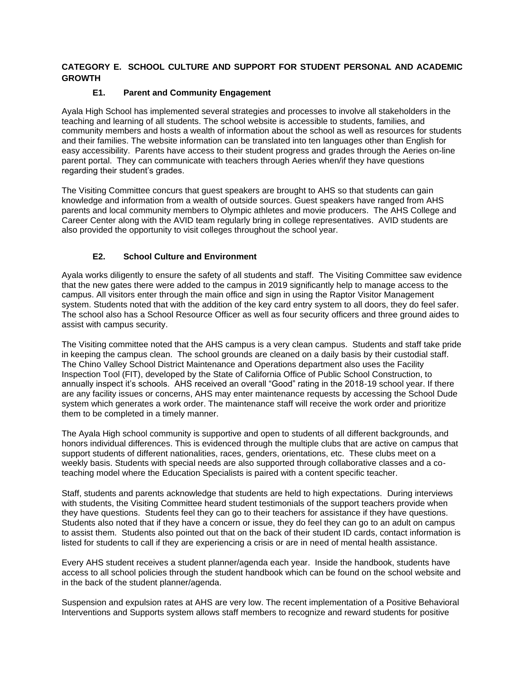# **CATEGORY E. SCHOOL CULTURE AND SUPPORT FOR STUDENT PERSONAL AND ACADEMIC GROWTH**

# **E1. Parent and Community Engagement**

Ayala High School has implemented several strategies and processes to involve all stakeholders in the teaching and learning of all students. The school website is accessible to students, families, and community members and hosts a wealth of information about the school as well as resources for students and their families. The website information can be translated into ten languages other than English for easy accessibility. Parents have access to their student progress and grades through the Aeries on-line parent portal. They can communicate with teachers through Aeries when/if they have questions regarding their student's grades.

The Visiting Committee concurs that guest speakers are brought to AHS so that students can gain knowledge and information from a wealth of outside sources. Guest speakers have ranged from AHS parents and local community members to Olympic athletes and movie producers. The AHS College and Career Center along with the AVID team regularly bring in college representatives. AVID students are also provided the opportunity to visit colleges throughout the school year.

# **E2. School Culture and Environment**

Ayala works diligently to ensure the safety of all students and staff. The Visiting Committee saw evidence that the new gates there were added to the campus in 2019 significantly help to manage access to the campus. All visitors enter through the main office and sign in using the Raptor Visitor Management system. Students noted that with the addition of the key card entry system to all doors, they do feel safer. The school also has a School Resource Officer as well as four security officers and three ground aides to assist with campus security.

The Visiting committee noted that the AHS campus is a very clean campus. Students and staff take pride in keeping the campus clean. The school grounds are cleaned on a daily basis by their custodial staff. The Chino Valley School District Maintenance and Operations department also uses the Facility Inspection Tool (FIT), developed by the State of California Office of Public School Construction, to annually inspect it's schools. AHS received an overall "Good" rating in the 2018-19 school year. If there are any facility issues or concerns, AHS may enter maintenance requests by accessing the School Dude system which generates a work order. The maintenance staff will receive the work order and prioritize them to be completed in a timely manner.

The Ayala High school community is supportive and open to students of all different backgrounds, and honors individual differences. This is evidenced through the multiple clubs that are active on campus that support students of different nationalities, races, genders, orientations, etc. These clubs meet on a weekly basis. Students with special needs are also supported through collaborative classes and a coteaching model where the Education Specialists is paired with a content specific teacher.

Staff, students and parents acknowledge that students are held to high expectations. During interviews with students, the Visiting Committee heard student testimonials of the support teachers provide when they have questions. Students feel they can go to their teachers for assistance if they have questions. Students also noted that if they have a concern or issue, they do feel they can go to an adult on campus to assist them. Students also pointed out that on the back of their student ID cards, contact information is listed for students to call if they are experiencing a crisis or are in need of mental health assistance.

Every AHS student receives a student planner/agenda each year. Inside the handbook, students have access to all school policies through the student handbook which can be found on the school website and in the back of the student planner/agenda.

Suspension and expulsion rates at AHS are very low. The recent implementation of a Positive Behavioral Interventions and Supports system allows staff members to recognize and reward students for positive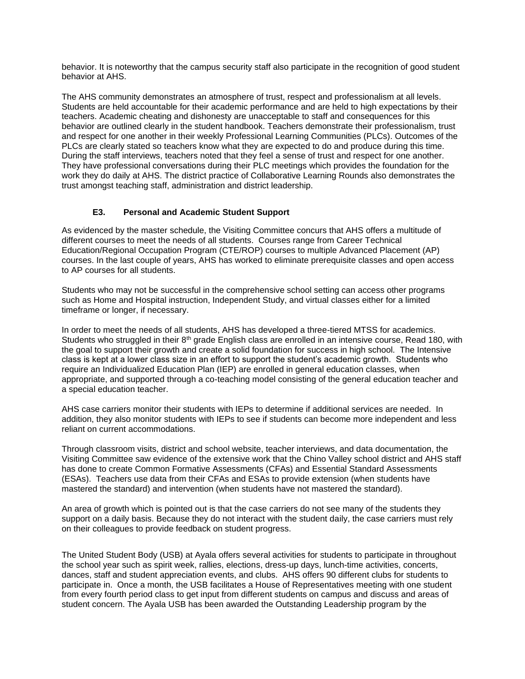behavior. It is noteworthy that the campus security staff also participate in the recognition of good student behavior at AHS.

The AHS community demonstrates an atmosphere of trust, respect and professionalism at all levels. Students are held accountable for their academic performance and are held to high expectations by their teachers. Academic cheating and dishonesty are unacceptable to staff and consequences for this behavior are outlined clearly in the student handbook. Teachers demonstrate their professionalism, trust and respect for one another in their weekly Professional Learning Communities (PLCs). Outcomes of the PLCs are clearly stated so teachers know what they are expected to do and produce during this time. During the staff interviews, teachers noted that they feel a sense of trust and respect for one another. They have professional conversations during their PLC meetings which provides the foundation for the work they do daily at AHS. The district practice of Collaborative Learning Rounds also demonstrates the trust amongst teaching staff, administration and district leadership.

# **E3. Personal and Academic Student Support**

As evidenced by the master schedule, the Visiting Committee concurs that AHS offers a multitude of different courses to meet the needs of all students. Courses range from Career Technical Education/Regional Occupation Program (CTE/ROP) courses to multiple Advanced Placement (AP) courses. In the last couple of years, AHS has worked to eliminate prerequisite classes and open access to AP courses for all students.

Students who may not be successful in the comprehensive school setting can access other programs such as Home and Hospital instruction, Independent Study, and virtual classes either for a limited timeframe or longer, if necessary.

In order to meet the needs of all students, AHS has developed a three-tiered MTSS for academics. Students who struggled in their 8<sup>th</sup> grade English class are enrolled in an intensive course, Read 180, with the goal to support their growth and create a solid foundation for success in high school. The Intensive class is kept at a lower class size in an effort to support the student's academic growth. Students who require an Individualized Education Plan (IEP) are enrolled in general education classes, when appropriate, and supported through a co-teaching model consisting of the general education teacher and a special education teacher.

AHS case carriers monitor their students with IEPs to determine if additional services are needed. In addition, they also monitor students with IEPs to see if students can become more independent and less reliant on current accommodations.

Through classroom visits, district and school website, teacher interviews, and data documentation, the Visiting Committee saw evidence of the extensive work that the Chino Valley school district and AHS staff has done to create Common Formative Assessments (CFAs) and Essential Standard Assessments (ESAs). Teachers use data from their CFAs and ESAs to provide extension (when students have mastered the standard) and intervention (when students have not mastered the standard).

An area of growth which is pointed out is that the case carriers do not see many of the students they support on a daily basis. Because they do not interact with the student daily, the case carriers must rely on their colleagues to provide feedback on student progress.

The United Student Body (USB) at Ayala offers several activities for students to participate in throughout the school year such as spirit week, rallies, elections, dress-up days, lunch-time activities, concerts, dances, staff and student appreciation events, and clubs. AHS offers 90 different clubs for students to participate in. Once a month, the USB facilitates a House of Representatives meeting with one student from every fourth period class to get input from different students on campus and discuss and areas of student concern. The Ayala USB has been awarded the Outstanding Leadership program by the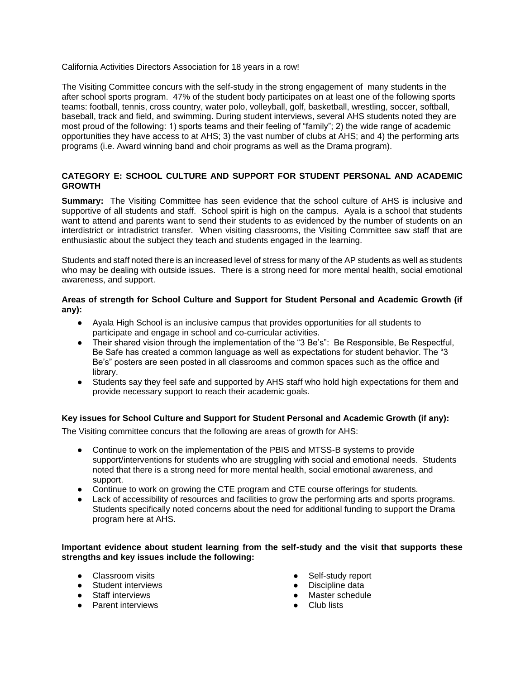California Activities Directors Association for 18 years in a row!

The Visiting Committee concurs with the self-study in the strong engagement of many students in the after school sports program. 47% of the student body participates on at least one of the following sports teams: football, tennis, cross country, water polo, volleyball, golf, basketball, wrestling, soccer, softball, baseball, track and field, and swimming. During student interviews, several AHS students noted they are most proud of the following: 1) sports teams and their feeling of "family"; 2) the wide range of academic opportunities they have access to at AHS; 3) the vast number of clubs at AHS; and 4) the performing arts programs (i.e. Award winning band and choir programs as well as the Drama program).

# **CATEGORY E: SCHOOL CULTURE AND SUPPORT FOR STUDENT PERSONAL AND ACADEMIC GROWTH**

**Summary:** The Visiting Committee has seen evidence that the school culture of AHS is inclusive and supportive of all students and staff. School spirit is high on the campus. Ayala is a school that students want to attend and parents want to send their students to as evidenced by the number of students on an interdistrict or intradistrict transfer. When visiting classrooms, the Visiting Committee saw staff that are enthusiastic about the subject they teach and students engaged in the learning.

Students and staff noted there is an increased level of stress for many of the AP students as well as students who may be dealing with outside issues. There is a strong need for more mental health, social emotional awareness, and support.

### **Areas of strength for School Culture and Support for Student Personal and Academic Growth (if any):**

- Ayala High School is an inclusive campus that provides opportunities for all students to participate and engage in school and co-curricular activities.
- Their shared vision through the implementation of the "3 Be's": Be Responsible, Be Respectful, Be Safe has created a common language as well as expectations for student behavior. The "3 Be's" posters are seen posted in all classrooms and common spaces such as the office and library.
- Students say they feel safe and supported by AHS staff who hold high expectations for them and provide necessary support to reach their academic goals.

# **Key issues for School Culture and Support for Student Personal and Academic Growth (if any):**

The Visiting committee concurs that the following are areas of growth for AHS:

- Continue to work on the implementation of the PBIS and MTSS-B systems to provide support/interventions for students who are struggling with social and emotional needs. Students noted that there is a strong need for more mental health, social emotional awareness, and support.
- Continue to work on growing the CTE program and CTE course offerings for students.
- Lack of accessibility of resources and facilities to grow the performing arts and sports programs. Students specifically noted concerns about the need for additional funding to support the Drama program here at AHS.

#### **Important evidence about student learning from the self-study and the visit that supports these strengths and key issues include the following:**

- Classroom visits
- Student interviews
- Staff interviews
- Parent interviews
- Self-study report
- Discipline data
- Master schedule
- Club lists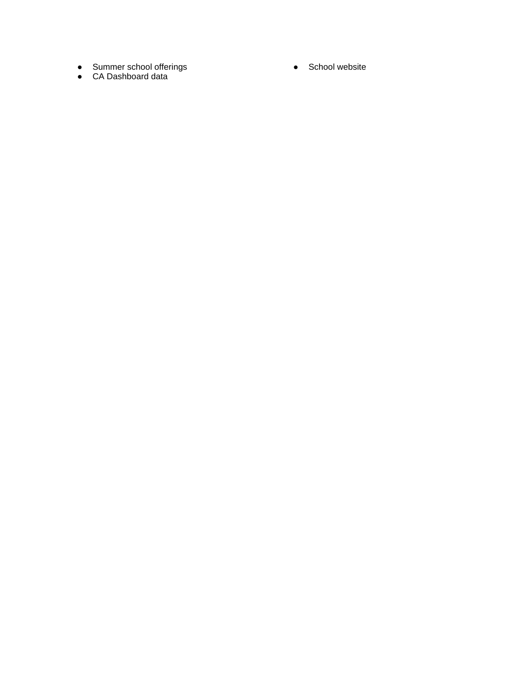- Summer school offerings
- CA Dashboard data

● School website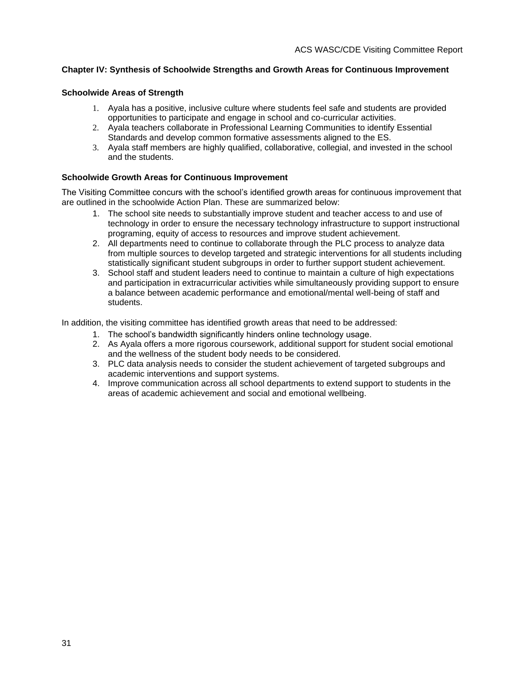# **Chapter IV: Synthesis of Schoolwide Strengths and Growth Areas for Continuous Improvement**

#### **Schoolwide Areas of Strength**

- 1. Ayala has a positive, inclusive culture where students feel safe and students are provided opportunities to participate and engage in school and co-curricular activities.
- 2. Ayala teachers collaborate in Professional Learning Communities to identify Essential Standards and develop common formative assessments aligned to the ES.
- 3. Ayala staff members are highly qualified, collaborative, collegial, and invested in the school and the students.

#### **Schoolwide Growth Areas for Continuous Improvement**

The Visiting Committee concurs with the school's identified growth areas for continuous improvement that are outlined in the schoolwide Action Plan. These are summarized below:

- 1. The school site needs to substantially improve student and teacher access to and use of technology in order to ensure the necessary technology infrastructure to support instructional programing, equity of access to resources and improve student achievement.
- 2. All departments need to continue to collaborate through the PLC process to analyze data from multiple sources to develop targeted and strategic interventions for all students including statistically significant student subgroups in order to further support student achievement.
- 3. School staff and student leaders need to continue to maintain a culture of high expectations and participation in extracurricular activities while simultaneously providing support to ensure a balance between academic performance and emotional/mental well-being of staff and students.

In addition, the visiting committee has identified growth areas that need to be addressed:

- 1. The school's bandwidth significantly hinders online technology usage.
- 2. As Ayala offers a more rigorous coursework, additional support for student social emotional and the wellness of the student body needs to be considered.
- 3. PLC data analysis needs to consider the student achievement of targeted subgroups and academic interventions and support systems.
- 4. Improve communication across all school departments to extend support to students in the areas of academic achievement and social and emotional wellbeing.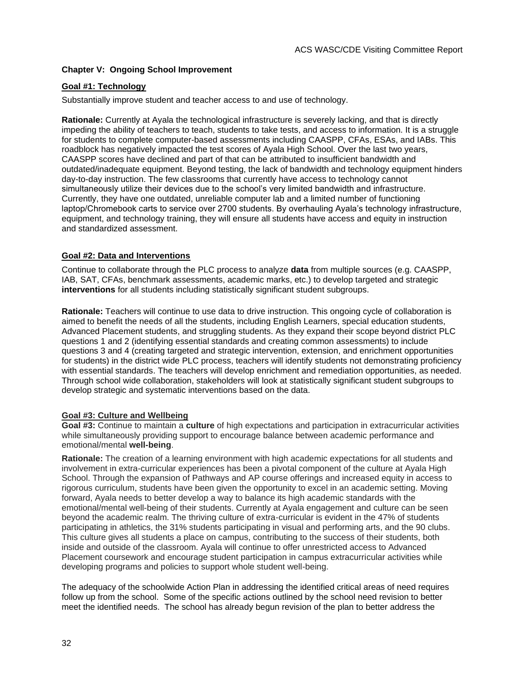# **Chapter V: Ongoing School Improvement**

# **Goal #1: Technology**

Substantially improve student and teacher access to and use of technology.

**Rationale:** Currently at Ayala the technological infrastructure is severely lacking, and that is directly impeding the ability of teachers to teach, students to take tests, and access to information. It is a struggle for students to complete computer-based assessments including CAASPP, CFAs, ESAs, and IABs. This roadblock has negatively impacted the test scores of Ayala High School. Over the last two years, CAASPP scores have declined and part of that can be attributed to insufficient bandwidth and outdated/inadequate equipment. Beyond testing, the lack of bandwidth and technology equipment hinders day-to-day instruction. The few classrooms that currently have access to technology cannot simultaneously utilize their devices due to the school's very limited bandwidth and infrastructure. Currently, they have one outdated, unreliable computer lab and a limited number of functioning laptop/Chromebook carts to service over 2700 students. By overhauling Ayala's technology infrastructure, equipment, and technology training, they will ensure all students have access and equity in instruction and standardized assessment.

### **Goal #2: Data and Interventions**

Continue to collaborate through the PLC process to analyze **data** from multiple sources (e.g. CAASPP, IAB, SAT, CFAs, benchmark assessments, academic marks, etc.) to develop targeted and strategic **interventions** for all students including statistically significant student subgroups.

**Rationale:** Teachers will continue to use data to drive instruction. This ongoing cycle of collaboration is aimed to benefit the needs of all the students, including English Learners, special education students, Advanced Placement students, and struggling students. As they expand their scope beyond district PLC questions 1 and 2 (identifying essential standards and creating common assessments) to include questions 3 and 4 (creating targeted and strategic intervention, extension, and enrichment opportunities for students) in the district wide PLC process, teachers will identify students not demonstrating proficiency with essential standards. The teachers will develop enrichment and remediation opportunities, as needed. Through school wide collaboration, stakeholders will look at statistically significant student subgroups to develop strategic and systematic interventions based on the data.

# **Goal #3: Culture and Wellbeing**

**Goal #3:** Continue to maintain a **culture** of high expectations and participation in extracurricular activities while simultaneously providing support to encourage balance between academic performance and emotional/mental **well-being**.

**Rationale:** The creation of a learning environment with high academic expectations for all students and involvement in extra-curricular experiences has been a pivotal component of the culture at Ayala High School. Through the expansion of Pathways and AP course offerings and increased equity in access to rigorous curriculum, students have been given the opportunity to excel in an academic setting. Moving forward, Ayala needs to better develop a way to balance its high academic standards with the emotional/mental well-being of their students. Currently at Ayala engagement and culture can be seen beyond the academic realm. The thriving culture of extra-curricular is evident in the 47% of students participating in athletics, the 31% students participating in visual and performing arts, and the 90 clubs. This culture gives all students a place on campus, contributing to the success of their students, both inside and outside of the classroom. Ayala will continue to offer unrestricted access to Advanced Placement coursework and encourage student participation in campus extracurricular activities while developing programs and policies to support whole student well-being.

The adequacy of the schoolwide Action Plan in addressing the identified critical areas of need requires follow up from the school. Some of the specific actions outlined by the school need revision to better meet the identified needs. The school has already begun revision of the plan to better address the